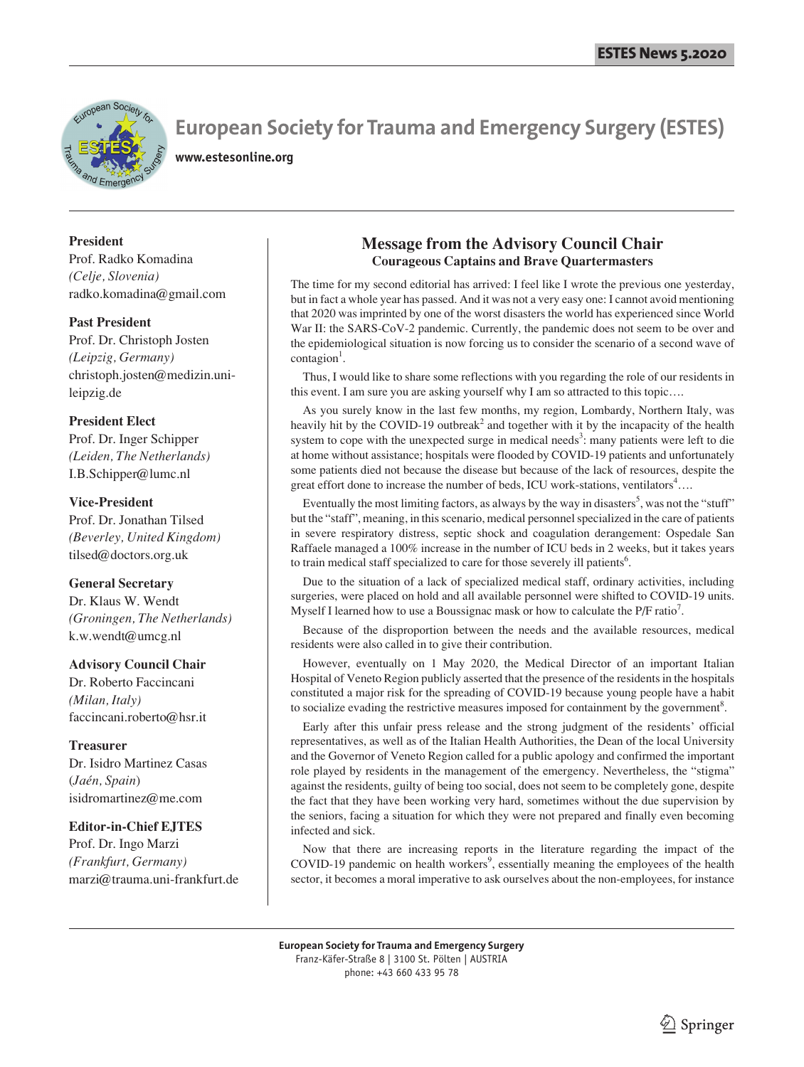

**www.estesonline.org**

## **President**

Prof. Radko Komadina *(Celje, Slovenia)* radko.komadina@gmail.com

## **Past President**

Prof. Dr. Christoph Josten *(Leipzig, Germany)* christoph.josten@medizin.unileipzig.de

## **President Elect**

Prof. Dr. Inger Schipper *(Leiden, The Netherlands)* I.B.Schipper@lumc.nl

## **Vice-President**

Prof. Dr. Jonathan Tilsed *(Beverley, United Kingdom)* tilsed@doctors.org.uk

## **General Secretary**

Dr. Klaus W. Wendt *(Groningen, The Netherlands)* k.w.wendt@umcg.nl

## **Advisory Council Chair**

Dr. Roberto Faccincani *(Milan, Italy)* faccincani.roberto@hsr.it

## **Treasurer**

Dr. Isidro Martinez Casas (*Jaén, Spain*) isidromartinez@me.com

## **Editor-in-Chief EJTES**

Prof. Dr. Ingo Marzi *(Frankfurt, Germany)* marzi@trauma.uni-frankfurt.de

## **Message from the Advisory Council Chair Courageous Captains and Brave Quartermasters**

The time for my second editorial has arrived: I feel like I wrote the previous one yesterday, but in fact a whole year has passed. And it was not a very easy one: I cannot avoid mentioning that 2020 was imprinted by one of the worst disasters the world has experienced since World War II: the SARS-CoV-2 pandemic. Currently, the pandemic does not seem to be over and the epidemiological situation is now forcing us to consider the scenario of a second wave of contagion<sup>1</sup>.

 Thus, I would like to share some reflections with you regarding the role of our residents in this event. I am sure you are asking yourself why I am so attracted to this topic….

 As you surely know in the last few months, my region, Lombardy, Northern Italy, was heavily hit by the COVID-19 outbreak<sup>2</sup> and together with it by the incapacity of the health system to cope with the unexpected surge in medical needs<sup>3</sup>: many patients were left to die at home without assistance; hospitals were flooded by COVID-19 patients and unfortunately some patients died not because the disease but because of the lack of resources, despite the great effort done to increase the number of beds, ICU work-stations, ventilators<sup>4</sup>....

Eventually the most limiting factors, as always by the way in disasters<sup>5</sup>, was not the "stuff" but the "staff", meaning, in this scenario, medical personnel specialized in the care of patients in severe respiratory distress, septic shock and coagulation derangement: Ospedale San Raffaele managed a 100% increase in the number of ICU beds in 2 weeks, but it takes years to train medical staff specialized to care for those severely ill patients<sup>6</sup>.

 Due to the situation of a lack of specialized medical staff, ordinary activities, including surgeries, were placed on hold and all available personnel were shifted to COVID-19 units. Myself I learned how to use a Boussignac mask or how to calculate the P/F ratio<sup>7</sup>.

 Because of the disproportion between the needs and the available resources, medical residents were also called in to give their contribution.

 However, eventually on 1 May 2020, the Medical Director of an important Italian Hospital of Veneto Region publicly asserted that the presence of the residents in the hospitals constituted a major risk for the spreading of COVID-19 because young people have a habit to socialize evading the restrictive measures imposed for containment by the government<sup>8</sup>.

 Early after this unfair press release and the strong judgment of the residents' official representatives, as well as of the Italian Health Authorities, the Dean of the local University and the Governor of Veneto Region called for a public apology and confirmed the important role played by residents in the management of the emergency. Nevertheless, the "stigma" against the residents, guilty of being too social, does not seem to be completely gone, despite the fact that they have been working very hard, sometimes without the due supervision by the seniors, facing a situation for which they were not prepared and finally even becoming infected and sick.

 Now that there are increasing reports in the literature regarding the impact of the  $COVID-19$  pandemic on health workers<sup>9</sup>, essentially meaning the employees of the health sector, it becomes a moral imperative to ask ourselves about the non-employees, for instance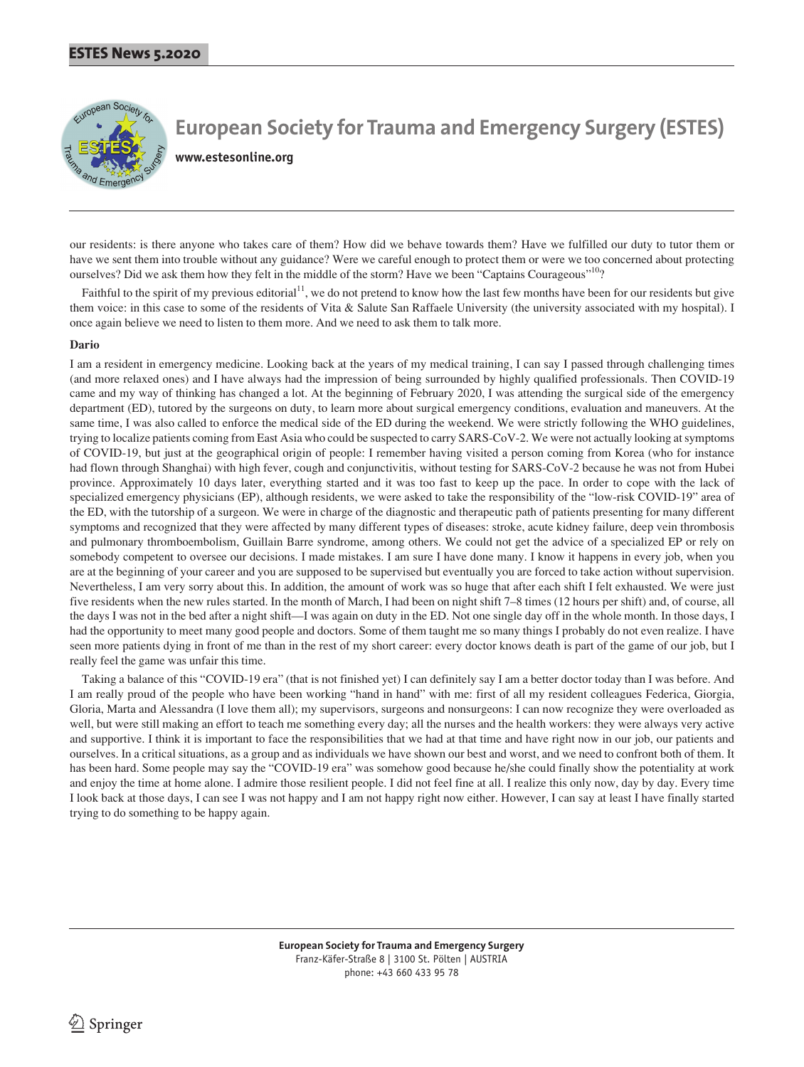

**www.estesonline.org**

our residents: is there anyone who takes care of them? How did we behave towards them? Have we fulfilled our duty to tutor them or have we sent them into trouble without any guidance? Were we careful enough to protect them or were we too concerned about protecting ourselves? Did we ask them how they felt in the middle of the storm? Have we been "Captains Courageous"<sup>10</sup>?

Faithful to the spirit of my previous editorial<sup>11</sup>, we do not pretend to know how the last few months have been for our residents but give them voice: in this case to some of the residents of Vita & Salute San Raffaele University (the university associated with my hospital). I once again believe we need to listen to them more. And we need to ask them to talk more.

## **Dario**

I am a resident in emergency medicine. Looking back at the years of my medical training, I can say I passed through challenging times (and more relaxed ones) and I have always had the impression of being surrounded by highly qualified professionals. Then COVID-19 came and my way of thinking has changed a lot. At the beginning of February 2020, I was attending the surgical side of the emergency department (ED), tutored by the surgeons on duty, to learn more about surgical emergency conditions, evaluation and maneuvers. At the same time, I was also called to enforce the medical side of the ED during the weekend. We were strictly following the WHO guidelines, trying to localize patients coming from East Asia who could be suspected to carry SARS-CoV-2. We were not actually looking at symptoms of COVID-19, but just at the geographical origin of people: I remember having visited a person coming from Korea (who for instance had flown through Shanghai) with high fever, cough and conjunctivitis, without testing for SARS-CoV-2 because he was not from Hubei province. Approximately 10 days later, everything started and it was too fast to keep up the pace. In order to cope with the lack of specialized emergency physicians (EP), although residents, we were asked to take the responsibility of the "low-risk COVID-19" area of the ED, with the tutorship of a surgeon. We were in charge of the diagnostic and therapeutic path of patients presenting for many different symptoms and recognized that they were affected by many different types of diseases: stroke, acute kidney failure, deep vein thrombosis and pulmonary thromboembolism, Guillain Barre syndrome, among others. We could not get the advice of a specialized EP or rely on somebody competent to oversee our decisions. I made mistakes. I am sure I have done many. I know it happens in every job, when you are at the beginning of your career and you are supposed to be supervised but eventually you are forced to take action without supervision. Nevertheless, I am very sorry about this. In addition, the amount of work was so huge that after each shift I felt exhausted. We were just five residents when the new rules started. In the month of March, I had been on night shift 7–8 times (12 hours per shift) and, of course, all the days I was not in the bed after a night shift—I was again on duty in the ED. Not one single day off in the whole month. In those days, I had the opportunity to meet many good people and doctors. Some of them taught me so many things I probably do not even realize. I have seen more patients dying in front of me than in the rest of my short career: every doctor knows death is part of the game of our job, but I really feel the game was unfair this time.

 Taking a balance of this "COVID-19 era" (that is not finished yet) I can definitely say I am a better doctor today than I was before. And I am really proud of the people who have been working "hand in hand" with me: first of all my resident colleagues Federica, Giorgia, Gloria, Marta and Alessandra (I love them all); my supervisors, surgeons and nonsurgeons: I can now recognize they were overloaded as well, but were still making an effort to teach me something every day; all the nurses and the health workers: they were always very active and supportive. I think it is important to face the responsibilities that we had at that time and have right now in our job, our patients and ourselves. In a critical situations, as a group and as individuals we have shown our best and worst, and we need to confront both of them. It has been hard. Some people may say the "COVID-19 era" was somehow good because he/she could finally show the potentiality at work and enjoy the time at home alone. I admire those resilient people. I did not feel fine at all. I realize this only now, day by day. Every time I look back at those days, I can see I was not happy and I am not happy right now either. However, I can say at least I have finally started trying to do something to be happy again.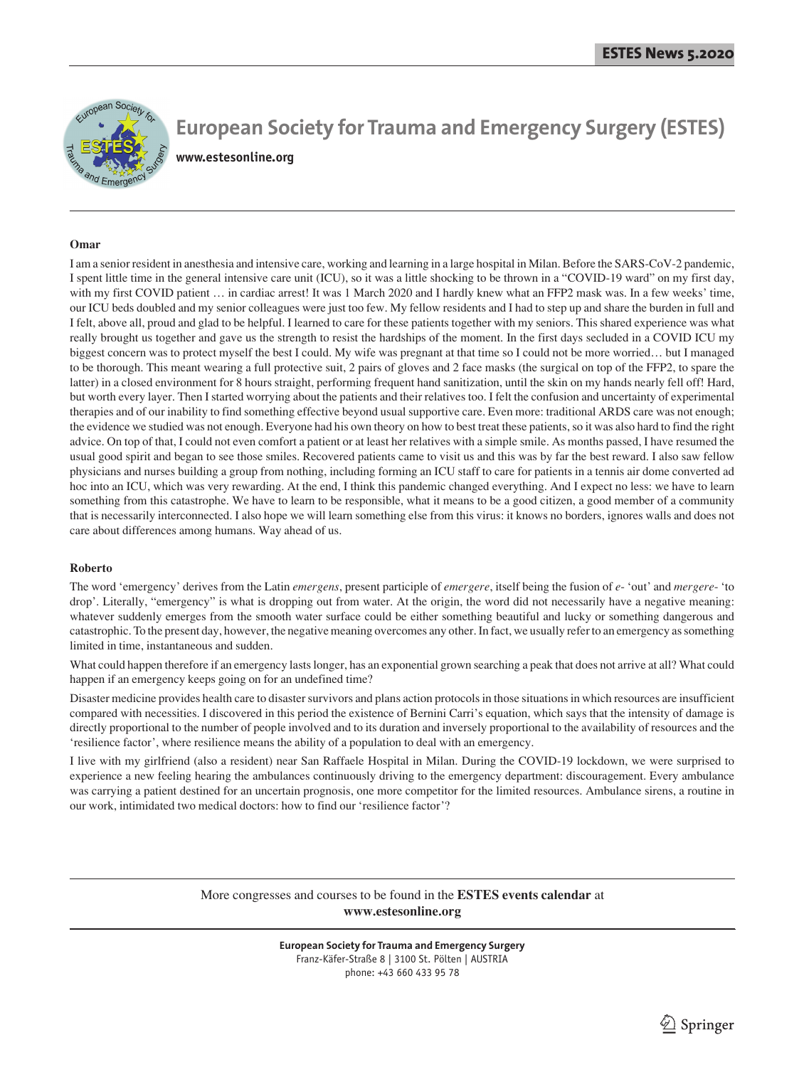

## **European Society for Trauma and Emergency Surgery (ESTES) www.estesonline.org**

#### **Omar**

I am a senior resident in anesthesia and intensive care, working and learning in a large hospital in Milan. Before the SARS-CoV-2 pandemic, I spent little time in the general intensive care unit (ICU), so it was a little shocking to be thrown in a "COVID-19 ward" on my first day, with my first COVID patient ... in cardiac arrest! It was 1 March 2020 and I hardly knew what an FFP2 mask was. In a few weeks' time, our ICU beds doubled and my senior colleagues were just too few. My fellow residents and I had to step up and share the burden in full and I felt, above all, proud and glad to be helpful. I learned to care for these patients together with my seniors. This shared experience was what really brought us together and gave us the strength to resist the hardships of the moment. In the first days secluded in a COVID ICU my biggest concern was to protect myself the best I could. My wife was pregnant at that time so I could not be more worried… but I managed to be thorough. This meant wearing a full protective suit, 2 pairs of gloves and 2 face masks (the surgical on top of the FFP2, to spare the latter) in a closed environment for 8 hours straight, performing frequent hand sanitization, until the skin on my hands nearly fell off! Hard, but worth every layer. Then I started worrying about the patients and their relatives too. I felt the confusion and uncertainty of experimental therapies and of our inability to find something effective beyond usual supportive care. Even more: traditional ARDS care was not enough; the evidence we studied was not enough. Everyone had his own theory on how to best treat these patients, so it was also hard to find the right advice. On top of that, I could not even comfort a patient or at least her relatives with a simple smile. As months passed, I have resumed the usual good spirit and began to see those smiles. Recovered patients came to visit us and this was by far the best reward. I also saw fellow physicians and nurses building a group from nothing, including forming an ICU staff to care for patients in a tennis air dome converted ad hoc into an ICU, which was very rewarding. At the end, I think this pandemic changed everything. And I expect no less: we have to learn something from this catastrophe. We have to learn to be responsible, what it means to be a good citizen, a good member of a community that is necessarily interconnected. I also hope we will learn something else from this virus: it knows no borders, ignores walls and does not care about differences among humans. Way ahead of us.

#### **Roberto**

The word 'emergency' derives from the Latin *emergens*, present participle of *emergere*, itself being the fusion of *e*- 'out' and *mergere*- 'to drop'. Literally, "emergency" is what is dropping out from water. At the origin, the word did not necessarily have a negative meaning: whatever suddenly emerges from the smooth water surface could be either something beautiful and lucky or something dangerous and catastrophic. To the present day, however, the negative meaning overcomes any other. In fact, we usually refer to an emergency as something limited in time, instantaneous and sudden.

What could happen therefore if an emergency lasts longer, has an exponential grown searching a peak that does not arrive at all? What could happen if an emergency keeps going on for an undefined time?

Disaster medicine provides health care to disaster survivors and plans action protocols in those situations in which resources are insufficient compared with necessities. I discovered in this period the existence of Bernini Carri's equation, which says that the intensity of damage is directly proportional to the number of people involved and to its duration and inversely proportional to the availability of resources and the 'resilience factor', where resilience means the ability of a population to deal with an emergency.

I live with my girlfriend (also a resident) near San Raffaele Hospital in Milan. During the COVID-19 lockdown, we were surprised to experience a new feeling hearing the ambulances continuously driving to the emergency department: discouragement. Every ambulance was carrying a patient destined for an uncertain prognosis, one more competitor for the limited resources. Ambulance sirens, a routine in our work, intimidated two medical doctors: how to find our 'resilience factor'?

> More congresses and courses to be found in the **ESTES events calendar** at **www.estesonline.org**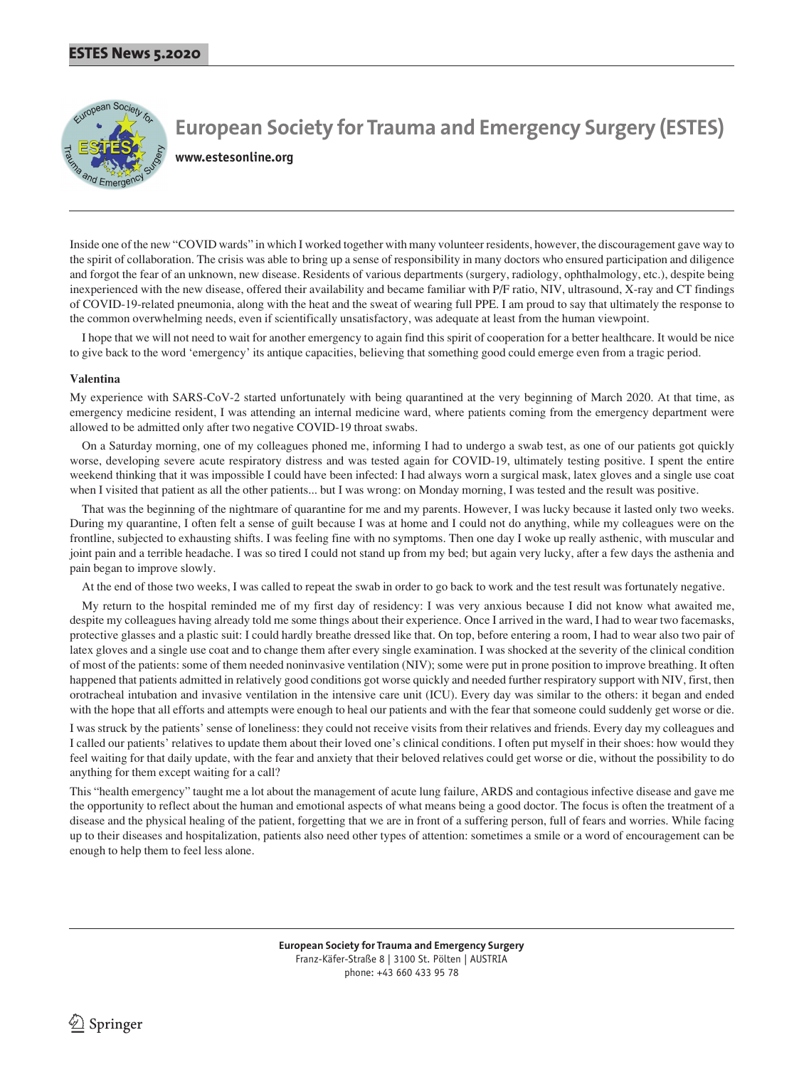

**www.estesonline.org**

Inside one of the new "COVID wards" in which I worked together with many volunteer residents, however, the discouragement gave way to the spirit of collaboration. The crisis was able to bring up a sense of responsibility in many doctors who ensured participation and diligence and forgot the fear of an unknown, new disease. Residents of various departments (surgery, radiology, ophthalmology, etc.), despite being inexperienced with the new disease, offered their availability and became familiar with P/F ratio, NIV, ultrasound, X-ray and CT findings of COVID-19-related pneumonia, along with the heat and the sweat of wearing full PPE. I am proud to say that ultimately the response to the common overwhelming needs, even if scientifically unsatisfactory, was adequate at least from the human viewpoint.

 I hope that we will not need to wait for another emergency to again find this spirit of cooperation for a better healthcare. It would be nice to give back to the word 'emergency' its antique capacities, believing that something good could emerge even from a tragic period.

## **Valentina**

My experience with SARS-CoV-2 started unfortunately with being quarantined at the very beginning of March 2020. At that time, as emergency medicine resident, I was attending an internal medicine ward, where patients coming from the emergency department were allowed to be admitted only after two negative COVID-19 throat swabs.

 On a Saturday morning, one of my colleagues phoned me, informing I had to undergo a swab test, as one of our patients got quickly worse, developing severe acute respiratory distress and was tested again for COVID-19, ultimately testing positive. I spent the entire weekend thinking that it was impossible I could have been infected: I had always worn a surgical mask, latex gloves and a single use coat when I visited that patient as all the other patients... but I was wrong: on Monday morning, I was tested and the result was positive.

 That was the beginning of the nightmare of quarantine for me and my parents. However, I was lucky because it lasted only two weeks. During my quarantine, I often felt a sense of guilt because I was at home and I could not do anything, while my colleagues were on the frontline, subjected to exhausting shifts. I was feeling fine with no symptoms. Then one day I woke up really asthenic, with muscular and joint pain and a terrible headache. I was so tired I could not stand up from my bed; but again very lucky, after a few days the asthenia and pain began to improve slowly.

At the end of those two weeks, I was called to repeat the swab in order to go back to work and the test result was fortunately negative.

 My return to the hospital reminded me of my first day of residency: I was very anxious because I did not know what awaited me, despite my colleagues having already told me some things about their experience. Once I arrived in the ward, I had to wear two facemasks, protective glasses and a plastic suit: I could hardly breathe dressed like that. On top, before entering a room, I had to wear also two pair of latex gloves and a single use coat and to change them after every single examination. I was shocked at the severity of the clinical condition of most of the patients: some of them needed noninvasive ventilation (NIV); some were put in prone position to improve breathing. It often happened that patients admitted in relatively good conditions got worse quickly and needed further respiratory support with NIV, first, then orotracheal intubation and invasive ventilation in the intensive care unit (ICU). Every day was similar to the others: it began and ended with the hope that all efforts and attempts were enough to heal our patients and with the fear that someone could suddenly get worse or die.

I was struck by the patients' sense of loneliness: they could not receive visits from their relatives and friends. Every day my colleagues and I called our patients' relatives to update them about their loved one's clinical conditions. I often put myself in their shoes: how would they feel waiting for that daily update, with the fear and anxiety that their beloved relatives could get worse or die, without the possibility to do anything for them except waiting for a call?

This "health emergency" taught me a lot about the management of acute lung failure, ARDS and contagious infective disease and gave me the opportunity to reflect about the human and emotional aspects of what means being a good doctor. The focus is often the treatment of a disease and the physical healing of the patient, forgetting that we are in front of a suffering person, full of fears and worries. While facing up to their diseases and hospitalization, patients also need other types of attention: sometimes a smile or a word of encouragement can be enough to help them to feel less alone.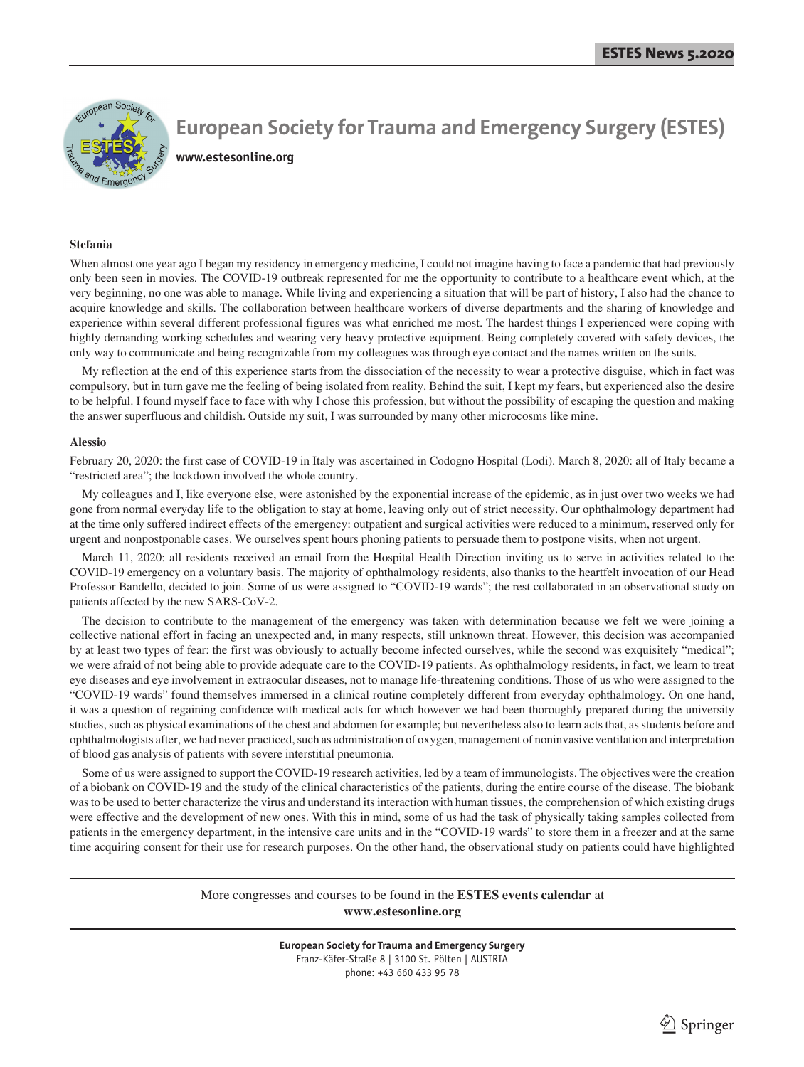

**European Society for Trauma and Emergency Surgery (ESTES) www.estesonline.org**

#### **Stefania**

When almost one year ago I began my residency in emergency medicine, I could not imagine having to face a pandemic that had previously only been seen in movies. The COVID-19 outbreak represented for me the opportunity to contribute to a healthcare event which, at the very beginning, no one was able to manage. While living and experiencing a situation that will be part of history, I also had the chance to acquire knowledge and skills. The collaboration between healthcare workers of diverse departments and the sharing of knowledge and experience within several different professional figures was what enriched me most. The hardest things I experienced were coping with highly demanding working schedules and wearing very heavy protective equipment. Being completely covered with safety devices, the only way to communicate and being recognizable from my colleagues was through eye contact and the names written on the suits.

 My reflection at the end of this experience starts from the dissociation of the necessity to wear a protective disguise, which in fact was compulsory, but in turn gave me the feeling of being isolated from reality. Behind the suit, I kept my fears, but experienced also the desire to be helpful. I found myself face to face with why I chose this profession, but without the possibility of escaping the question and making the answer superfluous and childish. Outside my suit, I was surrounded by many other microcosms like mine.

#### **Alessio**

February 20, 2020: the first case of COVID-19 in Italy was ascertained in Codogno Hospital (Lodi). March 8, 2020: all of Italy became a "restricted area"; the lockdown involved the whole country.

 My colleagues and I, like everyone else, were astonished by the exponential increase of the epidemic, as in just over two weeks we had gone from normal everyday life to the obligation to stay at home, leaving only out of strict necessity. Our ophthalmology department had at the time only suffered indirect effects of the emergency: outpatient and surgical activities were reduced to a minimum, reserved only for urgent and nonpostponable cases. We ourselves spent hours phoning patients to persuade them to postpone visits, when not urgent.

 March 11, 2020: all residents received an email from the Hospital Health Direction inviting us to serve in activities related to the COVID-19 emergency on a voluntary basis. The majority of ophthalmology residents, also thanks to the heartfelt invocation of our Head Professor Bandello, decided to join. Some of us were assigned to "COVID-19 wards"; the rest collaborated in an observational study on patients affected by the new SARS-CoV-2.

 The decision to contribute to the management of the emergency was taken with determination because we felt we were joining a collective national effort in facing an unexpected and, in many respects, still unknown threat. However, this decision was accompanied by at least two types of fear: the first was obviously to actually become infected ourselves, while the second was exquisitely "medical"; we were afraid of not being able to provide adequate care to the COVID-19 patients. As ophthalmology residents, in fact, we learn to treat eye diseases and eye involvement in extraocular diseases, not to manage life-threatening conditions. Those of us who were assigned to the "COVID-19 wards" found themselves immersed in a clinical routine completely different from everyday ophthalmology. On one hand, it was a question of regaining confidence with medical acts for which however we had been thoroughly prepared during the university studies, such as physical examinations of the chest and abdomen for example; but nevertheless also to learn acts that, as students before and ophthalmologists after, we had never practiced, such as administration of oxygen, management of noninvasive ventilation and interpretation of blood gas analysis of patients with severe interstitial pneumonia.

 Some of us were assigned to support the COVID-19 research activities, led by a team of immunologists. The objectives were the creation of a biobank on COVID-19 and the study of the clinical characteristics of the patients, during the entire course of the disease. The biobank was to be used to better characterize the virus and understand its interaction with human tissues, the comprehension of which existing drugs were effective and the development of new ones. With this in mind, some of us had the task of physically taking samples collected from patients in the emergency department, in the intensive care units and in the "COVID-19 wards" to store them in a freezer and at the same time acquiring consent for their use for research purposes. On the other hand, the observational study on patients could have highlighted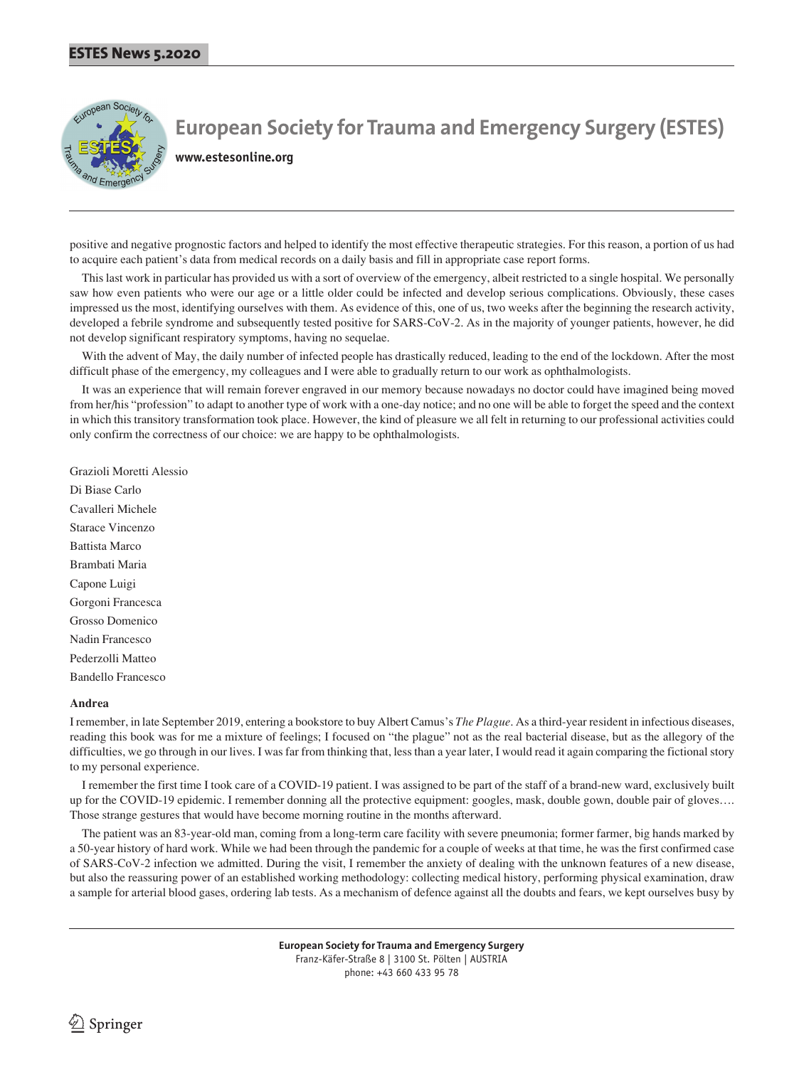

**www.estesonline.org**

positive and negative prognostic factors and helped to identify the most effective therapeutic strategies. For this reason, a portion of us had to acquire each patient's data from medical records on a daily basis and fill in appropriate case report forms.

 This last work in particular has provided us with a sort of overview of the emergency, albeit restricted to a single hospital. We personally saw how even patients who were our age or a little older could be infected and develop serious complications. Obviously, these cases impressed us the most, identifying ourselves with them. As evidence of this, one of us, two weeks after the beginning the research activity, developed a febrile syndrome and subsequently tested positive for SARS-CoV-2. As in the majority of younger patients, however, he did not develop significant respiratory symptoms, having no sequelae.

 With the advent of May, the daily number of infected people has drastically reduced, leading to the end of the lockdown. After the most difficult phase of the emergency, my colleagues and I were able to gradually return to our work as ophthalmologists.

 It was an experience that will remain forever engraved in our memory because nowadays no doctor could have imagined being moved from her/his "profession" to adapt to another type of work with a one-day notice; and no one will be able to forget the speed and the context in which this transitory transformation took place. However, the kind of pleasure we all felt in returning to our professional activities could only confirm the correctness of our choice: we are happy to be ophthalmologists.

Grazioli Moretti Alessio Di Biase Carlo Cavalleri Michele Starace Vincenzo Battista Marco Brambati Maria Capone Luigi Gorgoni Francesca Grosso Domenico Nadin Francesco Pederzolli Matteo Bandello Francesco

#### **Andrea**

I remember, in late September 2019, entering a bookstore to buy Albert Camus's *The Plague*. As a third-year resident in infectious diseases, reading this book was for me a mixture of feelings; I focused on "the plague" not as the real bacterial disease, but as the allegory of the difficulties, we go through in our lives. I was far from thinking that, less than a year later, I would read it again comparing the fictional story to my personal experience.

 I remember the first time I took care of a COVID-19 patient. I was assigned to be part of the staff of a brand-new ward, exclusively built up for the COVID-19 epidemic. I remember donning all the protective equipment: googles, mask, double gown, double pair of gloves…. Those strange gestures that would have become morning routine in the months afterward.

 The patient was an 83-year-old man, coming from a long-term care facility with severe pneumonia; former farmer, big hands marked by a 50-year history of hard work. While we had been through the pandemic for a couple of weeks at that time, he was the first confirmed case of SARS-CoV-2 infection we admitted. During the visit, I remember the anxiety of dealing with the unknown features of a new disease, but also the reassuring power of an established working methodology: collecting medical history, performing physical examination, draw a sample for arterial blood gases, ordering lab tests. As a mechanism of defence against all the doubts and fears, we kept ourselves busy by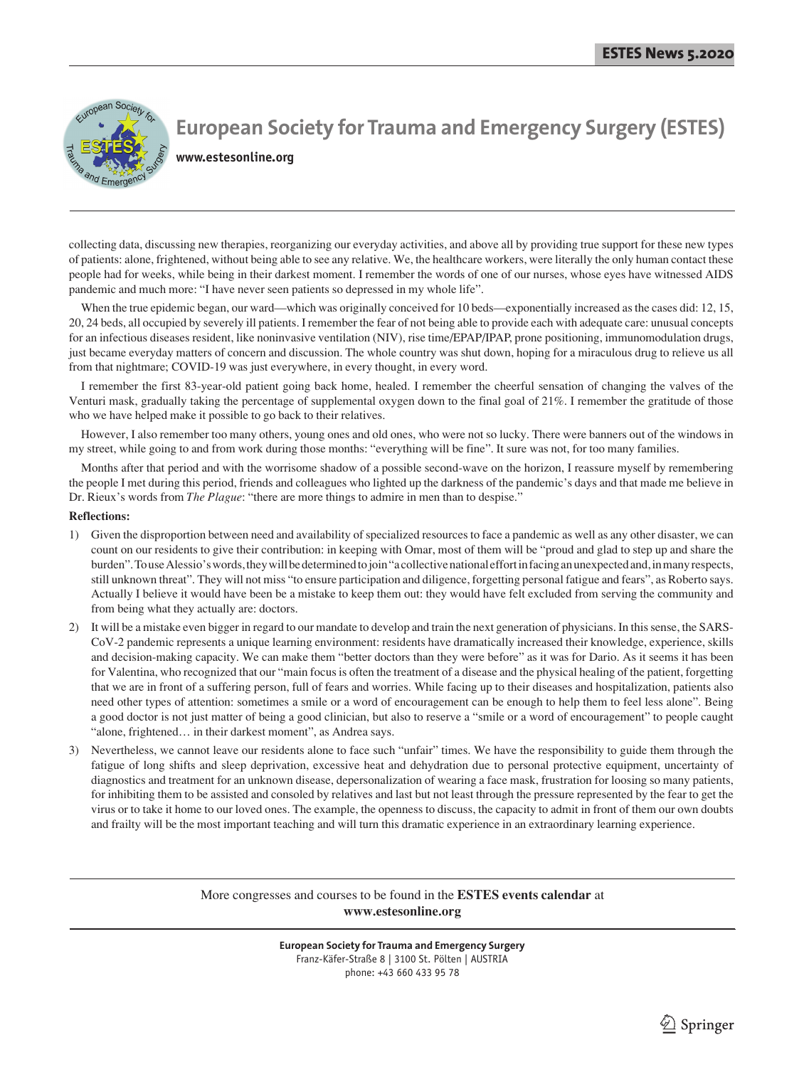

## **European Society for Trauma and Emergency Surgery (ESTES) www.estesonline.org**

collecting data, discussing new therapies, reorganizing our everyday activities, and above all by providing true support for these new types of patients: alone, frightened, without being able to see any relative. We, the healthcare workers, were literally the only human contact these people had for weeks, while being in their darkest moment. I remember the words of one of our nurses, whose eyes have witnessed AIDS pandemic and much more: "I have never seen patients so depressed in my whole life".

When the true epidemic began, our ward—which was originally conceived for 10 beds—exponentially increased as the cases did: 12, 15, 20, 24 beds, all occupied by severely ill patients. I remember the fear of not being able to provide each with adequate care: unusual concepts for an infectious diseases resident, like noninvasive ventilation (NIV), rise time/EPAP/IPAP, prone positioning, immunomodulation drugs, just became everyday matters of concern and discussion. The whole country was shut down, hoping for a miraculous drug to relieve us all from that nightmare; COVID-19 was just everywhere, in every thought, in every word.

 I remember the first 83-year-old patient going back home, healed. I remember the cheerful sensation of changing the valves of the Venturi mask, gradually taking the percentage of supplemental oxygen down to the final goal of 21%. I remember the gratitude of those who we have helped make it possible to go back to their relatives.

 However, I also remember too many others, young ones and old ones, who were not so lucky. There were banners out of the windows in my street, while going to and from work during those months: "everything will be fine". It sure was not, for too many families.

 Months after that period and with the worrisome shadow of a possible second-wave on the horizon, I reassure myself by remembering the people I met during this period, friends and colleagues who lighted up the darkness of the pandemic's days and that made me believe in Dr. Rieux's words from *The Plague*: "there are more things to admire in men than to despise."

#### **Reflections:**

- 1) Given the disproportion between need and availability of specialized resources to face a pandemic as well as any other disaster, we can count on our residents to give their contribution: in keeping with Omar, most of them will be "proud and glad to step up and share the burden". To use Alessio's words, they will be determined to join "a collective national effort in facing an unexpected and, in many respects, still unknown threat". They will not miss "to ensure participation and diligence, forgetting personal fatigue and fears", as Roberto says. Actually I believe it would have been be a mistake to keep them out: they would have felt excluded from serving the community and from being what they actually are: doctors.
- 2) It will be a mistake even bigger in regard to our mandate to develop and train the next generation of physicians. In this sense, the SARS-CoV-2 pandemic represents a unique learning environment: residents have dramatically increased their knowledge, experience, skills and decision-making capacity. We can make them "better doctors than they were before" as it was for Dario. As it seems it has been for Valentina, who recognized that our "main focus is often the treatment of a disease and the physical healing of the patient, forgetting that we are in front of a suffering person, full of fears and worries. While facing up to their diseases and hospitalization, patients also need other types of attention: sometimes a smile or a word of encouragement can be enough to help them to feel less alone". Being a good doctor is not just matter of being a good clinician, but also to reserve a "smile or a word of encouragement" to people caught "alone, frightened... in their darkest moment", as Andrea says.
- 3) Nevertheless, we cannot leave our residents alone to face such "unfair" times. We have the responsibility to guide them through the fatigue of long shifts and sleep deprivation, excessive heat and dehydration due to personal protective equipment, uncertainty of diagnostics and treatment for an unknown disease, depersonalization of wearing a face mask, frustration for loosing so many patients, for inhibiting them to be assisted and consoled by relatives and last but not least through the pressure represented by the fear to get the virus or to take it home to our loved ones. The example, the openness to discuss, the capacity to admit in front of them our own doubts and frailty will be the most important teaching and will turn this dramatic experience in an extraordinary learning experience.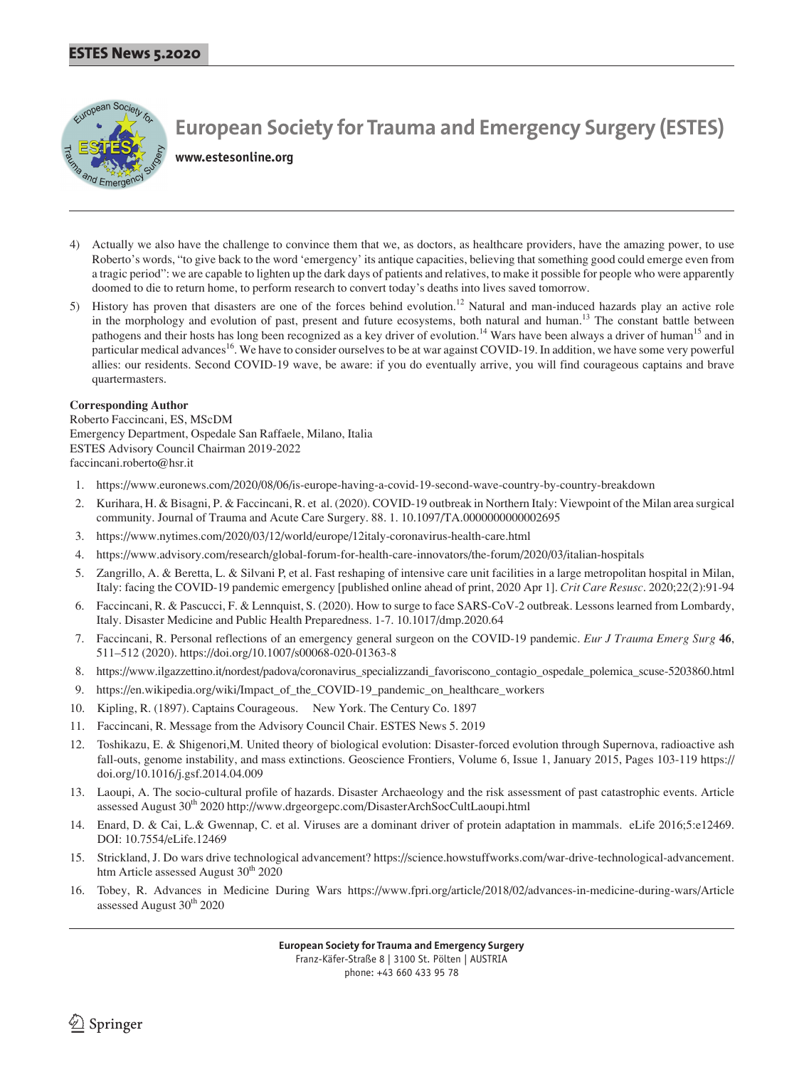

**www.estesonline.org**

- Actually we also have the challenge to convince them that we, as doctors, as healthcare providers, have the amazing power, to use Roberto's words, "to give back to the word 'emergency' its antique capacities, believing that something good could emerge even from a tragic period": we are capable to lighten up the dark days of patients and relatives, to make it possible for people who were apparently doomed to die to return home, to perform research to convert today's deaths into lives saved tomorrow.
- 5) History has proven that disasters are one of the forces behind evolution.<sup>12</sup> Natural and man-induced hazards play an active role in the morphology and evolution of past, present and future ecosystems, both natural and human.<sup>13</sup> The constant battle between pathogens and their hosts has long been recognized as a key driver of evolution.<sup>14</sup> Wars have been always a driver of human<sup>15</sup> and in particular medical advances<sup>16</sup>. We have to consider ourselves to be at war against COVID-19. In addition, we have some very powerful allies: our residents. Second COVID-19 wave, be aware: if you do eventually arrive, you will find courageous captains and brave quartermasters.

## **Corresponding Author**

Roberto Faccincani, ES, MScDM Emergency Department, Ospedale San Raffaele, Milano, Italia ESTES Advisory Council Chairman 2019-2022 faccincani.roberto@hsr.it

- 1. https://www.euronews.com/2020/08/06/is-europe-having-a-covid-19-second-wave-country-by-country-breakdown
- 2. Kurihara, H. & Bisagni, P. & Faccincani, R. et al. (2020). COVID-19 outbreak in Northern Italy: Viewpoint of the Milan area surgical community. Journal of Trauma and Acute Care Surgery. 88. 1. 10.1097/TA.0000000000002695
- 3. https://www.nytimes.com/2020/03/12/world/europe/12italy-coronavirus-health-care.html
- 4. https://www.advisory.com/research/global-forum-for-health-care-innovators/the-forum/2020/03/italian-hospitals
- 5. Zangrillo, A. & Beretta, L. & Silvani P, et al. Fast reshaping of intensive care unit facilities in a large metropolitan hospital in Milan, Italy: facing the COVID-19 pandemic emergency [published online ahead of print, 2020 Apr 1]. *Crit Care Resusc*. 2020;22(2):91-94
- 6. Faccincani, R. & Pascucci, F. & Lennquist, S. (2020). How to surge to face SARS-CoV-2 outbreak. Lessons learned from Lombardy, Italy. Disaster Medicine and Public Health Preparedness. 1-7. 10.1017/dmp.2020.64
- 7. Faccincani, R. Personal reflections of an emergency general surgeon on the COVID-19 pandemic. *Eur J Trauma Emerg Surg* **46**, 511–512 (2020). https://doi.org/10.1007/s00068-020-01363-8
- 8. https://www.ilgazzettino.it/nordest/padova/coronavirus specializzandi favoriscono contagio ospedale polemica scuse-5203860.html
- 9. https://en.wikipedia.org/wiki/Impact\_of\_the\_COVID-19\_pandemic\_on\_healthcare\_workers
- 10. Kipling, R. (1897). Captains Courageous. New York. The Century Co. 1897
- 11. Faccincani, R. Message from the Advisory Council Chair. ESTES News 5. 2019
- 12. Toshikazu, E. & Shigenori,M. United theory of biological evolution: Disaster-forced evolution through Supernova, radioactive ash fall-outs, genome instability, and mass extinctions. Geoscience Frontiers, Volume 6, Issue 1, January 2015, Pages 103-119 https:// doi.org/10.1016/j.gsf.2014.04.009
- 13. Laoupi, A. The socio-cultural profile of hazards. Disaster Archaeology and the risk assessment of past catastrophic events. Article assessed August 30th 2020 http://www.drgeorgepc.com/DisasterArchSocCultLaoupi.html
- 14. Enard, D. & Cai, L.& Gwennap, C. et al. Viruses are a dominant driver of protein adaptation in mammals. eLife 2016;5:e12469. DOI: 10.7554/eLife.12469
- 15. Strickland, J. Do wars drive technological advancement? https://science.howstuffworks.com/war-drive-technological-advancement. htm Article assessed August  $30<sup>th</sup> 2020$
- 16. Tobey, R. Advances in Medicine During Wars https://www.fpri.org/article/2018/02/advances-in-medicine-during-wars/Article assessed August  $30<sup>th</sup>$  2020

**European Society for Trauma and Emergency Surgery**

Franz-Käfer-Straße 8 | 3100 St. Pölten | AUSTRIA

phone: +43 660 433 95 78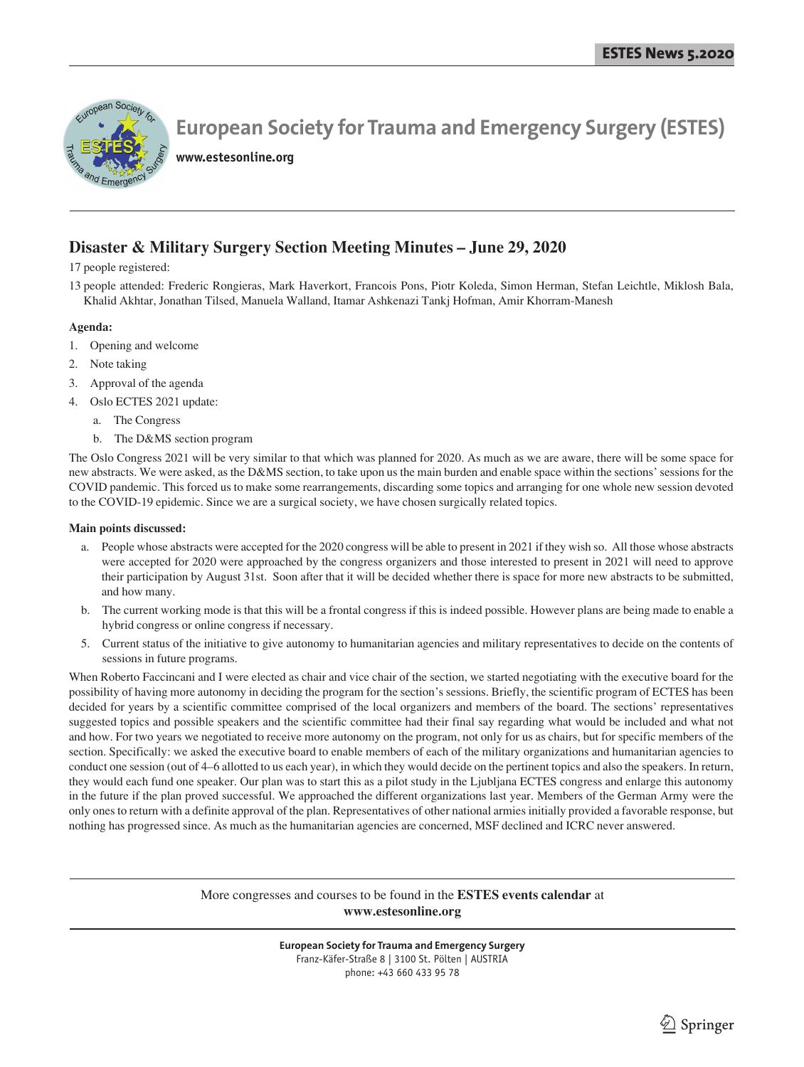

**www.estesonline.org**

## **Disaster & Military Surgery Section Meeting Minutes – June 29, 2020**

17 people registered:

13 people attended: Frederic Rongieras, Mark Haverkort, Francois Pons, Piotr Koleda, Simon Herman, Stefan Leichtle, Miklosh Bala, Khalid Akhtar, Jonathan Tilsed, Manuela Walland, Itamar Ashkenazi Tankj Hofman, Amir Khorram-Manesh

## **Agenda:**

- 1. Opening and welcome
- 2. Note taking
- 3. Approval of the agenda
- Oslo ECTES 2021 update:
	- a. The Congress
	- b. The D&MS section program

The Oslo Congress 2021 will be very similar to that which was planned for 2020. As much as we are aware, there will be some space for new abstracts. We were asked, as the D&MS section, to take upon us the main burden and enable space within the sections' sessions for the COVID pandemic. This forced us to make some rearrangements, discarding some topics and arranging for one whole new session devoted to the COVID-19 epidemic. Since we are a surgical society, we have chosen surgically related topics.

## **Main points discussed:**

- a. People whose abstracts were accepted for the 2020 congress will be able to present in 2021 if they wish so. All those whose abstracts were accepted for 2020 were approached by the congress organizers and those interested to present in 2021 will need to approve their participation by August 31st. Soon after that it will be decided whether there is space for more new abstracts to be submitted, and how many.
- b. The current working mode is that this will be a frontal congress if this is indeed possible. However plans are being made to enable a hybrid congress or online congress if necessary.
- 5. Current status of the initiative to give autonomy to humanitarian agencies and military representatives to decide on the contents of sessions in future programs.

When Roberto Faccincani and I were elected as chair and vice chair of the section, we started negotiating with the executive board for the possibility of having more autonomy in deciding the program for the section's sessions. Briefly, the scientific program of ECTES has been decided for years by a scientific committee comprised of the local organizers and members of the board. The sections' representatives suggested topics and possible speakers and the scientific committee had their final say regarding what would be included and what not and how. For two years we negotiated to receive more autonomy on the program, not only for us as chairs, but for specific members of the section. Specifically: we asked the executive board to enable members of each of the military organizations and humanitarian agencies to conduct one session (out of 4–6 allotted to us each year), in which they would decide on the pertinent topics and also the speakers. In return, they would each fund one speaker. Our plan was to start this as a pilot study in the Ljubljana ECTES congress and enlarge this autonomy in the future if the plan proved successful. We approached the different organizations last year. Members of the German Army were the only ones to return with a definite approval of the plan. Representatives of other national armies initially provided a favorable response, but nothing has progressed since. As much as the humanitarian agencies are concerned, MSF declined and ICRC never answered.

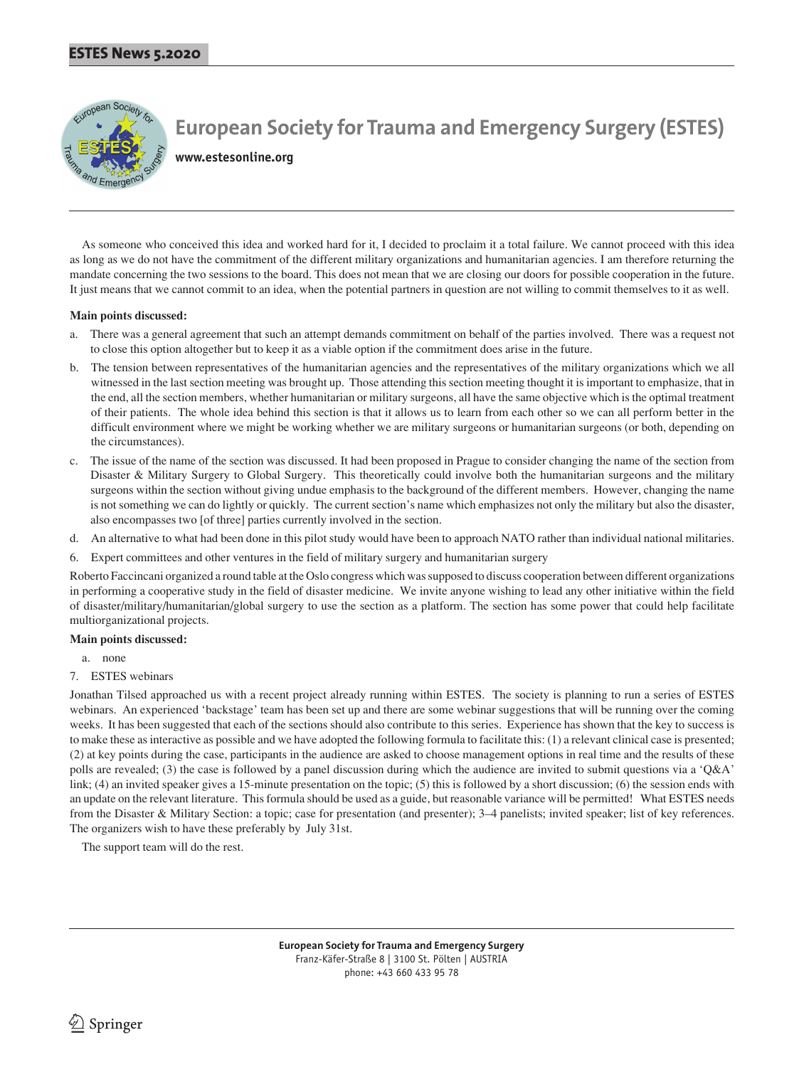

**www.estesonline.org**

 As someone who conceived this idea and worked hard for it, I decided to proclaim it a total failure. We cannot proceed with this idea as long as we do not have the commitment of the different military organizations and humanitarian agencies. I am therefore returning the mandate concerning the two sessions to the board. This does not mean that we are closing our doors for possible cooperation in the future. It just means that we cannot commit to an idea, when the potential partners in question are not willing to commit themselves to it as well.

## **Main points discussed:**

- a. There was a general agreement that such an attempt demands commitment on behalf of the parties involved. There was a request not to close this option altogether but to keep it as a viable option if the commitment does arise in the future.
- b. The tension between representatives of the humanitarian agencies and the representatives of the military organizations which we all witnessed in the last section meeting was brought up. Those attending this section meeting thought it is important to emphasize, that in the end, all the section members, whether humanitarian or military surgeons, all have the same objective which is the optimal treatment of their patients. The whole idea behind this section is that it allows us to learn from each other so we can all perform better in the difficult environment where we might be working whether we are military surgeons or humanitarian surgeons (or both, depending on the circumstances).
- c. The issue of the name of the section was discussed. It had been proposed in Prague to consider changing the name of the section from Disaster & Military Surgery to Global Surgery. This theoretically could involve both the humanitarian surgeons and the military surgeons within the section without giving undue emphasis to the background of the different members. However, changing the name is not something we can do lightly or quickly. The current section's name which emphasizes not only the military but also the disaster, also encompasses two [of three] parties currently involved in the section.
- d. An alternative to what had been done in this pilot study would have been to approach NATO rather than individual national militaries.
- 6. Expert committees and other ventures in the field of military surgery and humanitarian surgery

Roberto Faccincani organized a round table at the Oslo congress which was supposed to discuss cooperation between different organizations in performing a cooperative study in the field of disaster medicine. We invite anyone wishing to lead any other initiative within the field of disaster/military/humanitarian/global surgery to use the section as a platform. The section has some power that could help facilitate multiorganizational projects.

### **Main points discussed:**

- a. none
- 7. ESTES webinars

Jonathan Tilsed approached us with a recent project already running within ESTES. The society is planning to run a series of ESTES webinars. An experienced 'backstage' team has been set up and there are some webinar suggestions that will be running over the coming weeks. It has been suggested that each of the sections should also contribute to this series. Experience has shown that the key to success is to make these as interactive as possible and we have adopted the following formula to facilitate this: (1) a relevant clinical case is presented; (2) at key points during the case, participants in the audience are asked to choose management options in real time and the results of these polls are revealed; (3) the case is followed by a panel discussion during which the audience are invited to submit questions via a 'Q&A' link; (4) an invited speaker gives a 15-minute presentation on the topic; (5) this is followed by a short discussion; (6) the session ends with an update on the relevant literature. This formula should be used as a guide, but reasonable variance will be permitted! What ESTES needs from the Disaster & Military Section: a topic; case for presentation (and presenter); 3–4 panelists; invited speaker; list of key references. The organizers wish to have these preferably by July 31st.

The support team will do the rest.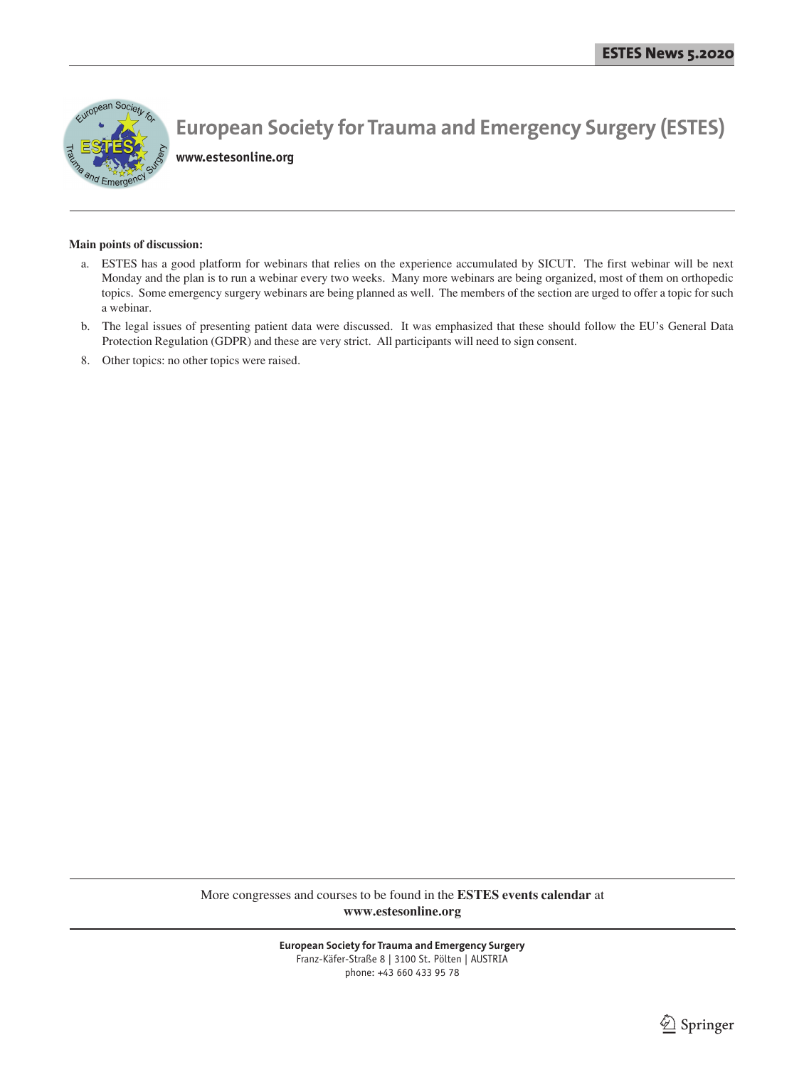

**www.estesonline.org**

#### **Main points of discussion:**

- a. ESTES has a good platform for webinars that relies on the experience accumulated by SICUT. The first webinar will be next Monday and the plan is to run a webinar every two weeks. Many more webinars are being organized, most of them on orthopedic topics. Some emergency surgery webinars are being planned as well. The members of the section are urged to offer a topic for such a webinar.
- b. The legal issues of presenting patient data were discussed. It was emphasized that these should follow the EU's General Data Protection Regulation (GDPR) and these are very strict. All participants will need to sign consent.
- 8. Other topics: no other topics were raised.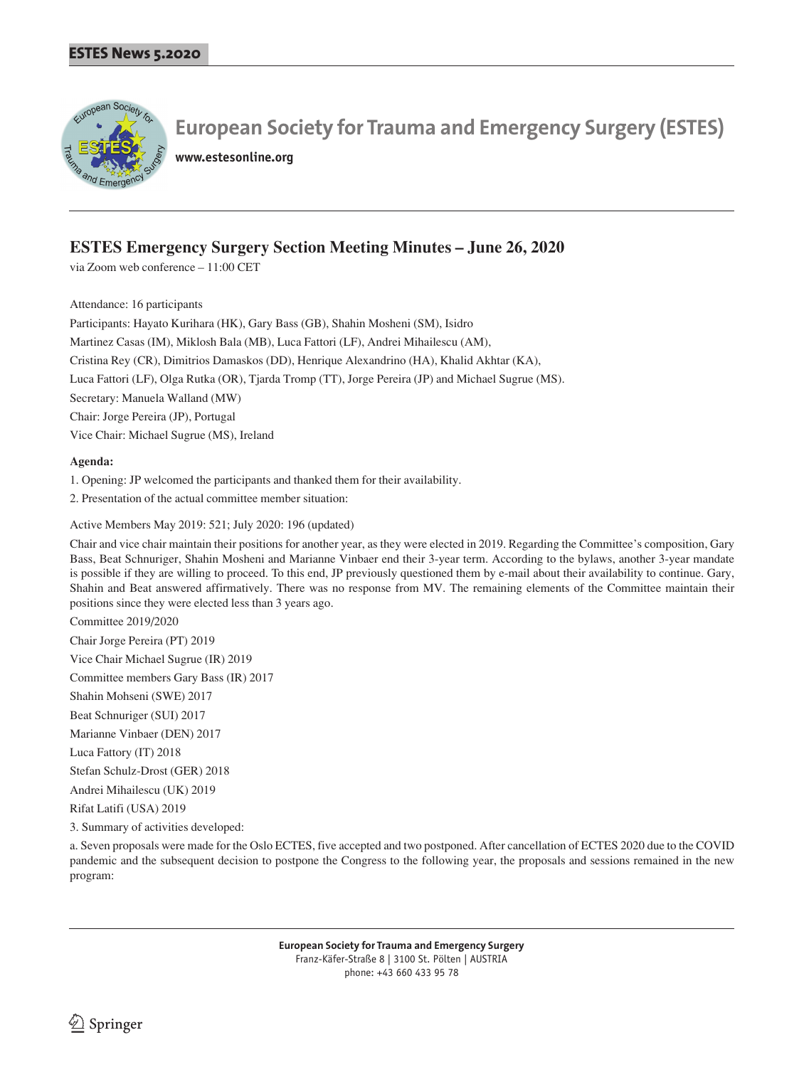

**www.estesonline.org**

## **ESTES Emergency Surgery Section Meeting Minutes – June 26, 2020**

via Zoom web conference – 11:00 CET

Attendance: 16 participants

Participants: Hayato Kurihara (HK), Gary Bass (GB), Shahin Mosheni (SM), Isidro Martinez Casas (IM), Miklosh Bala (MB), Luca Fattori (LF), Andrei Mihailescu (AM), Cristina Rey (CR), Dimitrios Damaskos (DD), Henrique Alexandrino (HA), Khalid Akhtar (KA), Luca Fattori (LF), Olga Rutka (OR), Tjarda Tromp (TT), Jorge Pereira (JP) and Michael Sugrue (MS). Secretary: Manuela Walland (MW) Chair: Jorge Pereira (JP), Portugal Vice Chair: Michael Sugrue (MS), Ireland

## **Agenda:**

1. Opening: JP welcomed the participants and thanked them for their availability.

2. Presentation of the actual committee member situation:

Active Members May 2019: 521; July 2020: 196 (updated)

Chair and vice chair maintain their positions for another year, as they were elected in 2019. Regarding the Committee's composition, Gary Bass, Beat Schnuriger, Shahin Mosheni and Marianne Vinbaer end their 3-year term. According to the bylaws, another 3-year mandate is possible if they are willing to proceed. To this end, JP previously questioned them by e-mail about their availability to continue. Gary, Shahin and Beat answered affirmatively. There was no response from MV. The remaining elements of the Committee maintain their positions since they were elected less than 3 years ago.

Committee 2019/2020 Chair Jorge Pereira (PT) 2019 Vice Chair Michael Sugrue (IR) 2019 Committee members Gary Bass (IR) 2017 Shahin Mohseni (SWE) 2017 Beat Schnuriger (SUI) 2017 Marianne Vinbaer (DEN) 2017 Luca Fattory (IT) 2018 Stefan Schulz-Drost (GER) 2018 Andrei Mihailescu (UK) 2019 Rifat Latifi (USA) 2019

3. Summary of activities developed:

a. Seven proposals were made for the Oslo ECTES, five accepted and two postponed. After cancellation of ECTES 2020 due to the COVID pandemic and the subsequent decision to postpone the Congress to the following year, the proposals and sessions remained in the new program: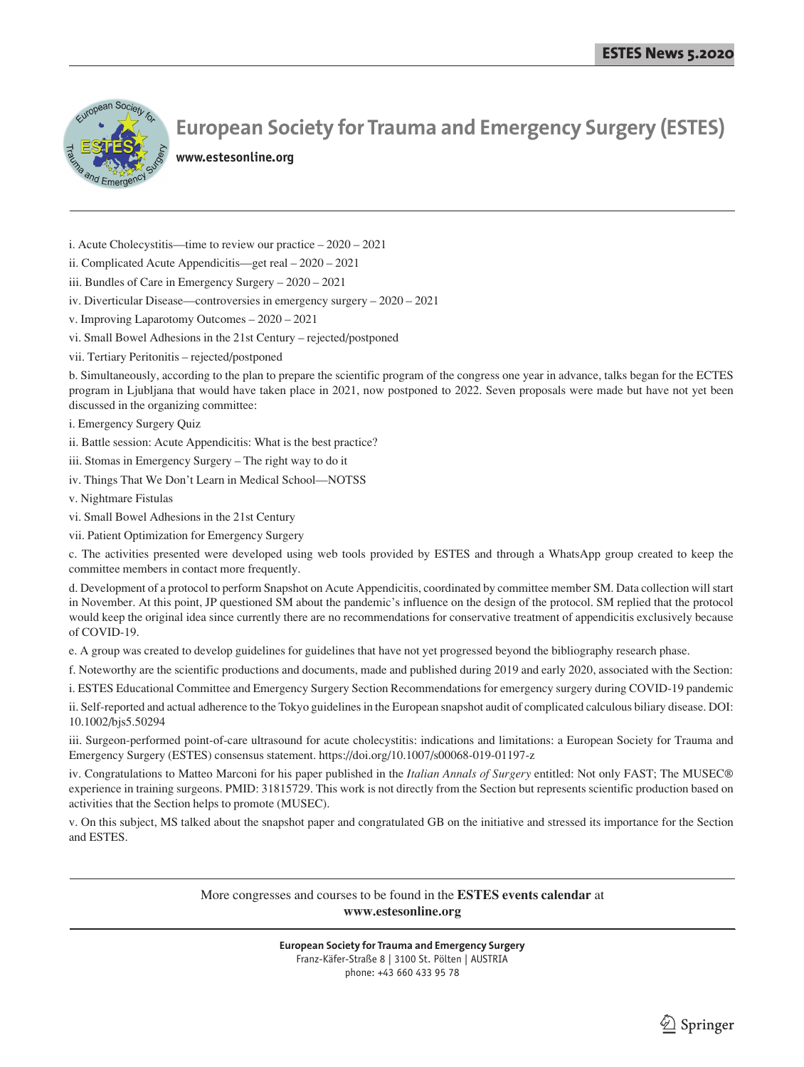

**www.estesonline.org**

- i. Acute Cholecystitis—time to review our practice 2020 2021
- ii. Complicated Acute Appendicitis—get real 2020 2021
- iii. Bundles of Care in Emergency Surgery 2020 2021
- iv. Diverticular Disease—controversies in emergency surgery 2020 2021
- v. Improving Laparotomy Outcomes 2020 2021
- vi. Small Bowel Adhesions in the 21st Century rejected/postponed
- vii. Tertiary Peritonitis rejected/postponed

b. Simultaneously, according to the plan to prepare the scientific program of the congress one year in advance, talks began for the ECTES program in Ljubljana that would have taken place in 2021, now postponed to 2022. Seven proposals were made but have not yet been discussed in the organizing committee:

- i. Emergency Surgery Quiz
- ii. Battle session: Acute Appendicitis: What is the best practice?
- iii. Stomas in Emergency Surgery The right way to do it
- iv. Things That We Don't Learn in Medical School—NOTSS
- v. Nightmare Fistulas
- vi. Small Bowel Adhesions in the 21st Century
- vii. Patient Optimization for Emergency Surgery

c. The activities presented were developed using web tools provided by ESTES and through a WhatsApp group created to keep the committee members in contact more frequently.

d. Development of a protocol to perform Snapshot on Acute Appendicitis, coordinated by committee member SM. Data collection will start in November. At this point, JP questioned SM about the pandemic's influence on the design of the protocol. SM replied that the protocol would keep the original idea since currently there are no recommendations for conservative treatment of appendicitis exclusively because of COVID-19.

e. A group was created to develop guidelines for guidelines that have not yet progressed beyond the bibliography research phase.

f. Noteworthy are the scientific productions and documents, made and published during 2019 and early 2020, associated with the Section:

i. ESTES Educational Committee and Emergency Surgery Section Recommendations for emergency surgery during COVID-19 pandemic

ii. Self-reported and actual adherence to the Tokyo guidelines in the European snapshot audit of complicated calculous biliary disease. DOI: 10.1002/bjs5.50294

iii. Surgeon-performed point-of-care ultrasound for acute cholecystitis: indications and limitations: a European Society for Trauma and Emergency Surgery (ESTES) consensus statement. https://doi.org/10.1007/s00068-019-01197-z

iv. Congratulations to Matteo Marconi for his paper published in the *Italian Annals of Surgery* entitled: Not only FAST; The MUSEC® experience in training surgeons. PMID: 31815729. This work is not directly from the Section but represents scientific production based on activities that the Section helps to promote (MUSEC).

v. On this subject, MS talked about the snapshot paper and congratulated GB on the initiative and stressed its importance for the Section and ESTES.

> More congresses and courses to be found in the **ESTES events calendar** at **www.estesonline.org**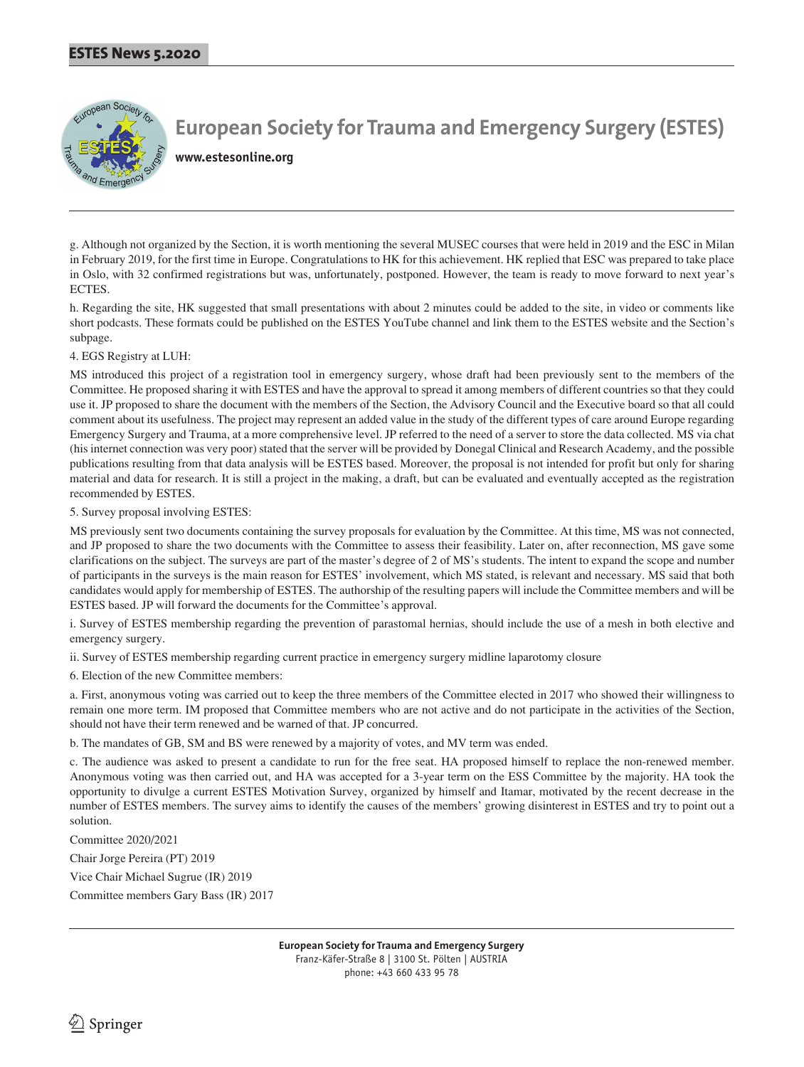

**www.estesonline.org**

g. Although not organized by the Section, it is worth mentioning the several MUSEC courses that were held in 2019 and the ESC in Milan in February 2019, for the first time in Europe. Congratulations to HK for this achievement. HK replied that ESC was prepared to take place in Oslo, with 32 confirmed registrations but was, unfortunately, postponed. However, the team is ready to move forward to next year's **ECTES** 

h. Regarding the site, HK suggested that small presentations with about 2 minutes could be added to the site, in video or comments like short podcasts. These formats could be published on the ESTES YouTube channel and link them to the ESTES website and the Section's subpage.

4. EGS Registry at LUH:

MS introduced this project of a registration tool in emergency surgery, whose draft had been previously sent to the members of the Committee. He proposed sharing it with ESTES and have the approval to spread it among members of different countries so that they could use it. JP proposed to share the document with the members of the Section, the Advisory Council and the Executive board so that all could comment about its usefulness. The project may represent an added value in the study of the different types of care around Europe regarding Emergency Surgery and Trauma, at a more comprehensive level. JP referred to the need of a server to store the data collected. MS via chat (his internet connection was very poor) stated that the server will be provided by Donegal Clinical and Research Academy, and the possible publications resulting from that data analysis will be ESTES based. Moreover, the proposal is not intended for profit but only for sharing material and data for research. It is still a project in the making, a draft, but can be evaluated and eventually accepted as the registration recommended by ESTES.

5. Survey proposal involving ESTES:

MS previously sent two documents containing the survey proposals for evaluation by the Committee. At this time, MS was not connected, and JP proposed to share the two documents with the Committee to assess their feasibility. Later on, after reconnection, MS gave some clarifications on the subject. The surveys are part of the master's degree of 2 of MS's students. The intent to expand the scope and number of participants in the surveys is the main reason for ESTES' involvement, which MS stated, is relevant and necessary. MS said that both candidates would apply for membership of ESTES. The authorship of the resulting papers will include the Committee members and will be ESTES based. JP will forward the documents for the Committee's approval.

i. Survey of ESTES membership regarding the prevention of parastomal hernias, should include the use of a mesh in both elective and emergency surgery.

ii. Survey of ESTES membership regarding current practice in emergency surgery midline laparotomy closure

6. Election of the new Committee members:

a. First, anonymous voting was carried out to keep the three members of the Committee elected in 2017 who showed their willingness to remain one more term. IM proposed that Committee members who are not active and do not participate in the activities of the Section, should not have their term renewed and be warned of that. JP concurred.

b. The mandates of GB, SM and BS were renewed by a majority of votes, and MV term was ended.

c. The audience was asked to present a candidate to run for the free seat. HA proposed himself to replace the non-renewed member. Anonymous voting was then carried out, and HA was accepted for a 3-year term on the ESS Committee by the majority. HA took the opportunity to divulge a current ESTES Motivation Survey, organized by himself and Itamar, motivated by the recent decrease in the number of ESTES members. The survey aims to identify the causes of the members' growing disinterest in ESTES and try to point out a solution.

Committee 2020/2021

Chair Jorge Pereira (PT) 2019

Vice Chair Michael Sugrue (IR) 2019

Committee members Gary Bass (IR) 2017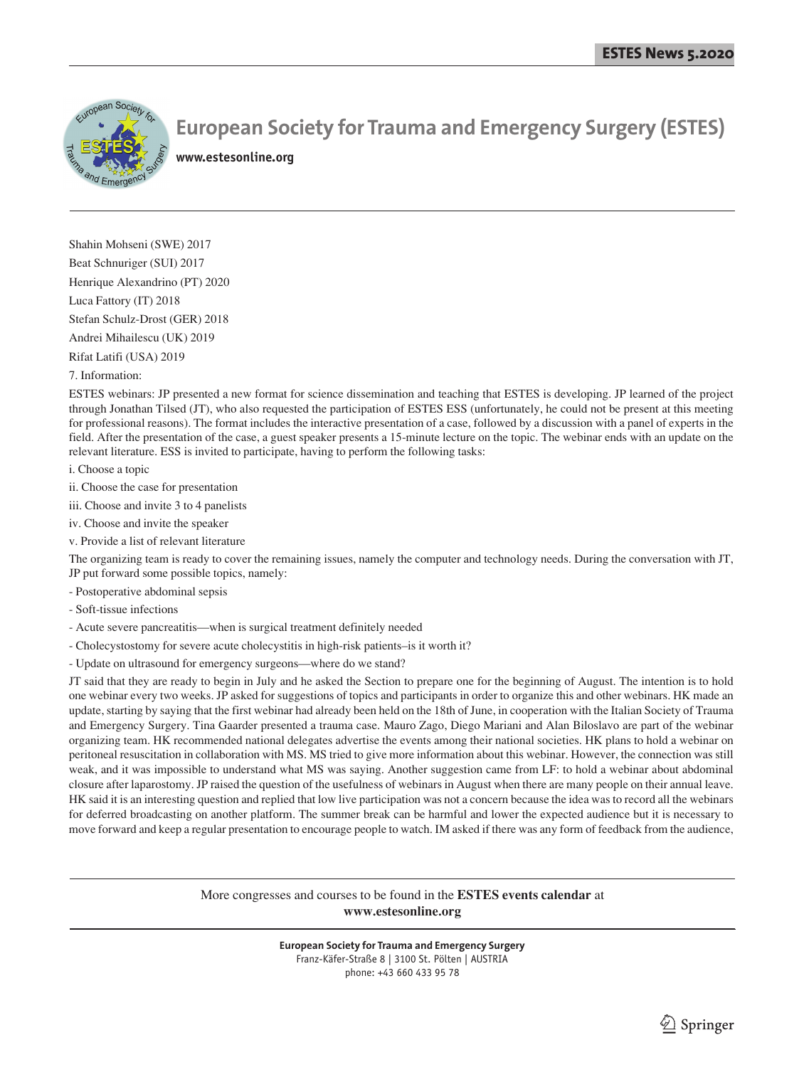

**www.estesonline.org**

Shahin Mohseni (SWE) 2017 Beat Schnuriger (SUI) 2017 Henrique Alexandrino (PT) 2020 Luca Fattory (IT) 2018 Stefan Schulz-Drost (GER) 2018 Andrei Mihailescu (UK) 2019

Rifat Latifi (USA) 2019

## 7. Information:

ESTES webinars: JP presented a new format for science dissemination and teaching that ESTES is developing. JP learned of the project through Jonathan Tilsed (JT), who also requested the participation of ESTES ESS (unfortunately, he could not be present at this meeting for professional reasons). The format includes the interactive presentation of a case, followed by a discussion with a panel of experts in the field. After the presentation of the case, a guest speaker presents a 15-minute lecture on the topic. The webinar ends with an update on the relevant literature. ESS is invited to participate, having to perform the following tasks:

i. Choose a topic

ii. Choose the case for presentation

iii. Choose and invite 3 to 4 panelists

iv. Choose and invite the speaker

v. Provide a list of relevant literature

The organizing team is ready to cover the remaining issues, namely the computer and technology needs. During the conversation with JT, JP put forward some possible topics, namely:

- Postoperative abdominal sepsis

- Soft-tissue infections

- Acute severe pancreatitis—when is surgical treatment definitely needed

- Cholecystostomy for severe acute cholecystitis in high-risk patients–is it worth it?

- Update on ultrasound for emergency surgeons—where do we stand?

JT said that they are ready to begin in July and he asked the Section to prepare one for the beginning of August. The intention is to hold one webinar every two weeks. JP asked for suggestions of topics and participants in order to organize this and other webinars. HK made an update, starting by saying that the first webinar had already been held on the 18th of June, in cooperation with the Italian Society of Trauma and Emergency Surgery. Tina Gaarder presented a trauma case. Mauro Zago, Diego Mariani and Alan Biloslavo are part of the webinar organizing team. HK recommended national delegates advertise the events among their national societies. HK plans to hold a webinar on peritoneal resuscitation in collaboration with MS. MS tried to give more information about this webinar. However, the connection was still weak, and it was impossible to understand what MS was saying. Another suggestion came from LF: to hold a webinar about abdominal closure after laparostomy. JP raised the question of the usefulness of webinars in August when there are many people on their annual leave. HK said it is an interesting question and replied that low live participation was not a concern because the idea was to record all the webinars for deferred broadcasting on another platform. The summer break can be harmful and lower the expected audience but it is necessary to move forward and keep a regular presentation to encourage people to watch. IM asked if there was any form of feedback from the audience,

> More congresses and courses to be found in the **ESTES events calendar** at **www.estesonline.org**

> > **European Society for Trauma and Emergency Surgery**

Franz-Käfer-Straße 8 | 3100 St. Pölten | AUSTRIA phone: +43 660 433 95 78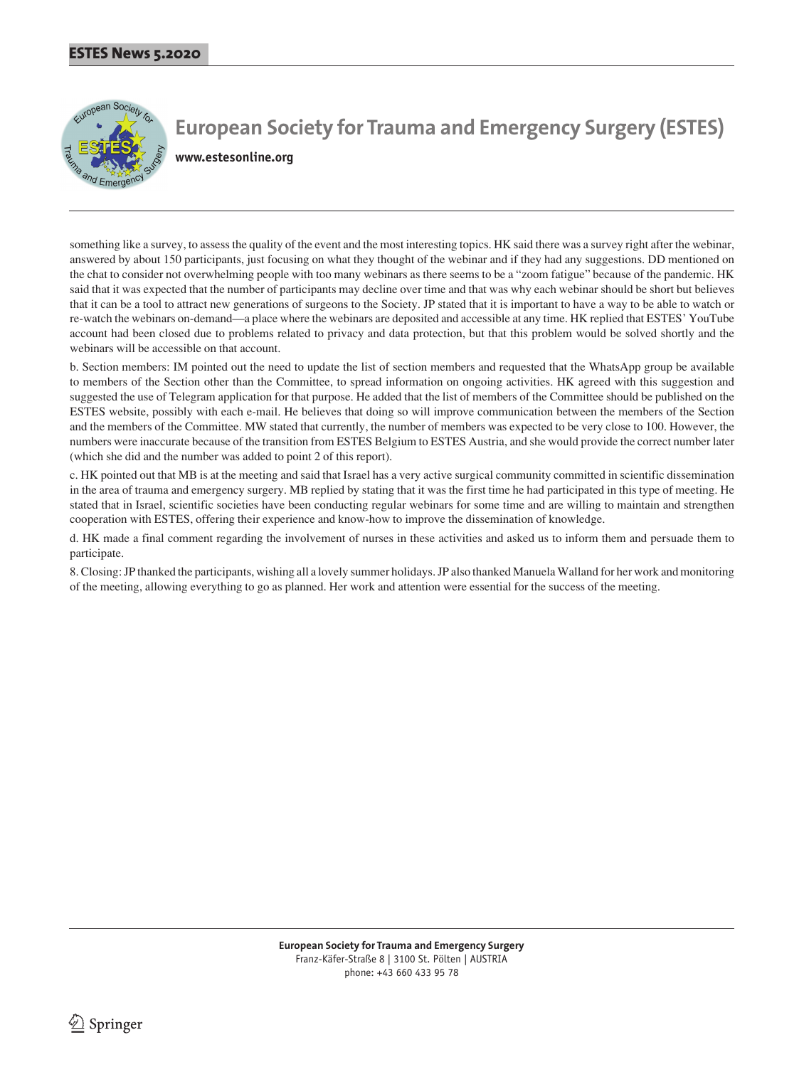

**www.estesonline.org**

something like a survey, to assess the quality of the event and the most interesting topics. HK said there was a survey right after the webinar, answered by about 150 participants, just focusing on what they thought of the webinar and if they had any suggestions. DD mentioned on the chat to consider not overwhelming people with too many webinars as there seems to be a "zoom fatigue" because of the pandemic. HK said that it was expected that the number of participants may decline over time and that was why each webinar should be short but believes that it can be a tool to attract new generations of surgeons to the Society. JP stated that it is important to have a way to be able to watch or re-watch the webinars on-demand—a place where the webinars are deposited and accessible at any time. HK replied that ESTES' YouTube account had been closed due to problems related to privacy and data protection, but that this problem would be solved shortly and the webinars will be accessible on that account.

b. Section members: IM pointed out the need to update the list of section members and requested that the WhatsApp group be available to members of the Section other than the Committee, to spread information on ongoing activities. HK agreed with this suggestion and suggested the use of Telegram application for that purpose. He added that the list of members of the Committee should be published on the ESTES website, possibly with each e-mail. He believes that doing so will improve communication between the members of the Section and the members of the Committee. MW stated that currently, the number of members was expected to be very close to 100. However, the numbers were inaccurate because of the transition from ESTES Belgium to ESTES Austria, and she would provide the correct number later (which she did and the number was added to point 2 of this report).

c. HK pointed out that MB is at the meeting and said that Israel has a very active surgical community committed in scientific dissemination in the area of trauma and emergency surgery. MB replied by stating that it was the first time he had participated in this type of meeting. He stated that in Israel, scientific societies have been conducting regular webinars for some time and are willing to maintain and strengthen cooperation with ESTES, offering their experience and know-how to improve the dissemination of knowledge.

d. HK made a final comment regarding the involvement of nurses in these activities and asked us to inform them and persuade them to participate.

8. Closing: JP thanked the participants, wishing all a lovely summer holidays. JP also thanked Manuela Walland for her work and monitoring of the meeting, allowing everything to go as planned. Her work and attention were essential for the success of the meeting.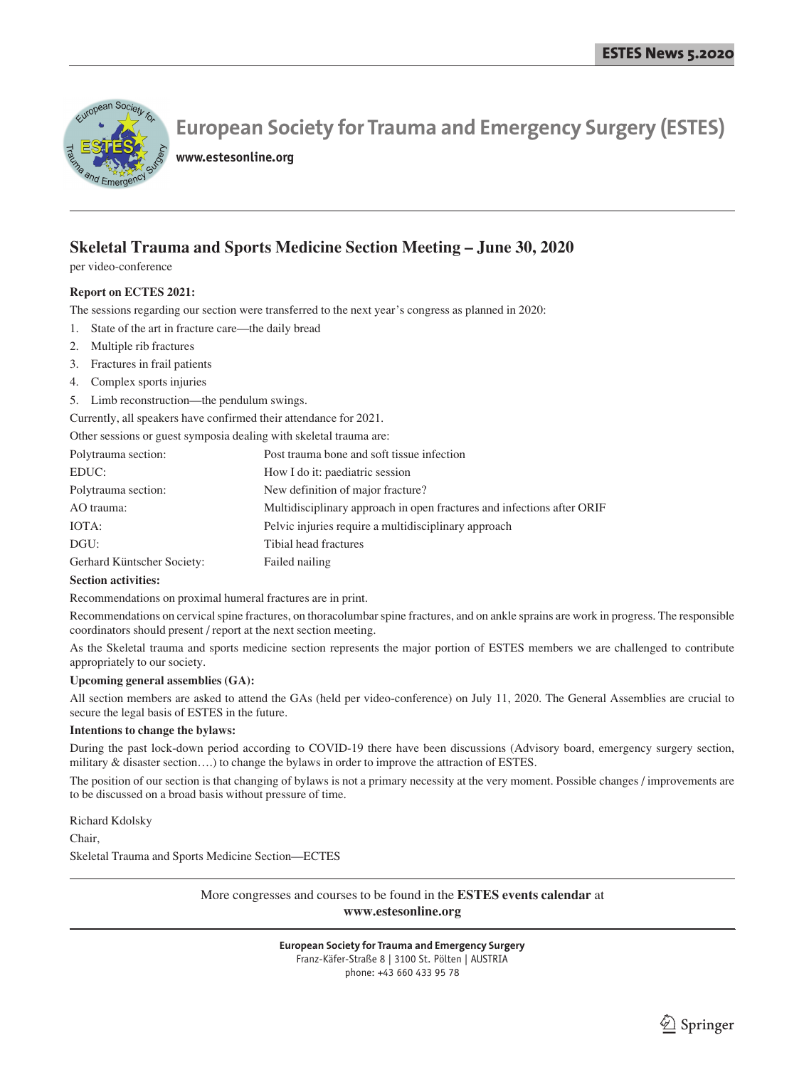

**www.estesonline.org**

## **Skeletal Trauma and Sports Medicine Section Meeting – June 30, 2020**

per video-conference

## **Report on ECTES 2021:**

The sessions regarding our section were transferred to the next year's congress as planned in 2020:

- 1. State of the art in fracture care—the daily bread
- 2. Multiple rib fractures
- 3. Fractures in frail patients
- 4. Complex sports injuries
- 5. Limb reconstruction—the pendulum swings.

Currently, all speakers have confirmed their attendance for 2021.

Other sessions or guest symposia dealing with skeletal trauma are:

| Post trauma bone and soft tissue infection                             |
|------------------------------------------------------------------------|
| How I do it: paediatric session                                        |
| New definition of major fracture?                                      |
| Multidisciplinary approach in open fractures and infections after ORIF |
| Pelvic injuries require a multidisciplinary approach                   |
| Tibial head fractures                                                  |
| Failed nailing                                                         |
|                                                                        |

#### **Section activities:**

Recommendations on proximal humeral fractures are in print.

Recommendations on cervical spine fractures, on thoracolumbar spine fractures, and on ankle sprains are work in progress. The responsible coordinators should present / report at the next section meeting.

As the Skeletal trauma and sports medicine section represents the major portion of ESTES members we are challenged to contribute appropriately to our society.

## **Upcoming general assemblies (GA):**

All section members are asked to attend the GAs (held per video-conference) on July 11, 2020. The General Assemblies are crucial to secure the legal basis of ESTES in the future.

## **Intentions to change the bylaws:**

During the past lock-down period according to COVID-19 there have been discussions (Advisory board, emergency surgery section, military & disaster section….) to change the bylaws in order to improve the attraction of ESTES.

The position of our section is that changing of bylaws is not a primary necessity at the very moment. Possible changes / improvements are to be discussed on a broad basis without pressure of time.

Richard Kdolsky

Chair,

Skeletal Trauma and Sports Medicine Section—ECTES

More congresses and courses to be found in the **ESTES events calendar** at **www.estesonline.org**

Franz-Käfer-Straße 8 | 3100 St. Pölten | AUSTRIA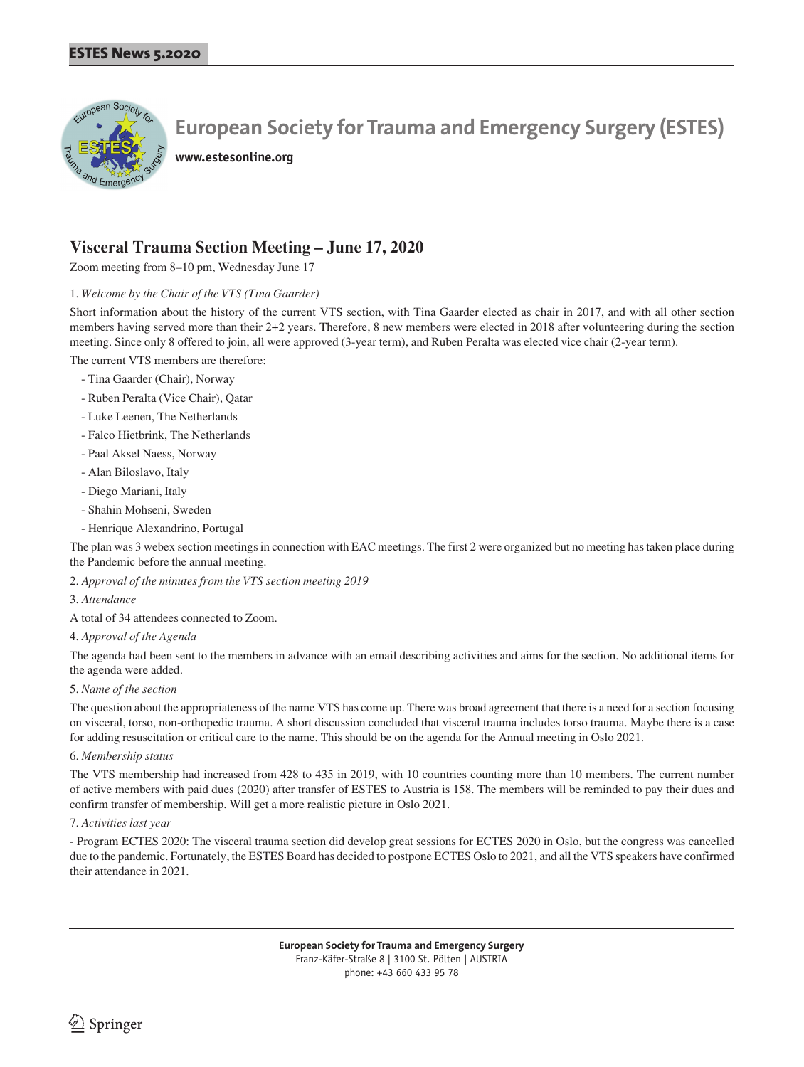

**www.estesonline.org**

## **Visceral Trauma Section Meeting – June 17, 2020**

Zoom meeting from 8–10 pm, Wednesday June 17

## 1. *Welcome by the Chair of the VTS (Tina Gaarder)*

Short information about the history of the current VTS section, with Tina Gaarder elected as chair in 2017, and with all other section members having served more than their 2+2 years. Therefore, 8 new members were elected in 2018 after volunteering during the section meeting. Since only 8 offered to join, all were approved (3-year term), and Ruben Peralta was elected vice chair (2-year term).

The current VTS members are therefore:

- Tina Gaarder (Chair), Norway
- Ruben Peralta (Vice Chair), Qatar
- Luke Leenen, The Netherlands
- Falco Hietbrink, The Netherlands
- Paal Aksel Naess, Norway
- Alan Biloslavo, Italy
- Diego Mariani, Italy
- Shahin Mohseni, Sweden
- Henrique Alexandrino, Portugal

The plan was 3 webex section meetings in connection with EAC meetings. The first 2 were organized but no meeting has taken place during the Pandemic before the annual meeting.

2. *Approval of the minutes from the VTS section meeting 2019* 

## 3. *Attendance*

A total of 34 attendees connected to Zoom.

#### 4. *Approval of the Agenda*

The agenda had been sent to the members in advance with an email describing activities and aims for the section. No additional items for the agenda were added.

#### 5. *Name of the section*

The question about the appropriateness of the name VTS has come up. There was broad agreement that there is a need for a section focusing on visceral, torso, non-orthopedic trauma. A short discussion concluded that visceral trauma includes torso trauma. Maybe there is a case for adding resuscitation or critical care to the name. This should be on the agenda for the Annual meeting in Oslo 2021.

#### 6. *Membership status*

The VTS membership had increased from 428 to 435 in 2019, with 10 countries counting more than 10 members. The current number of active members with paid dues (2020) after transfer of ESTES to Austria is 158. The members will be reminded to pay their dues and confirm transfer of membership. Will get a more realistic picture in Oslo 2021.

## 7. *Activities last year*

- Program ECTES 2020: The visceral trauma section did develop great sessions for ECTES 2020 in Oslo, but the congress was cancelled due to the pandemic. Fortunately, the ESTES Board has decided to postpone ECTES Oslo to 2021, and all the VTS speakers have confirmed their attendance in 2021.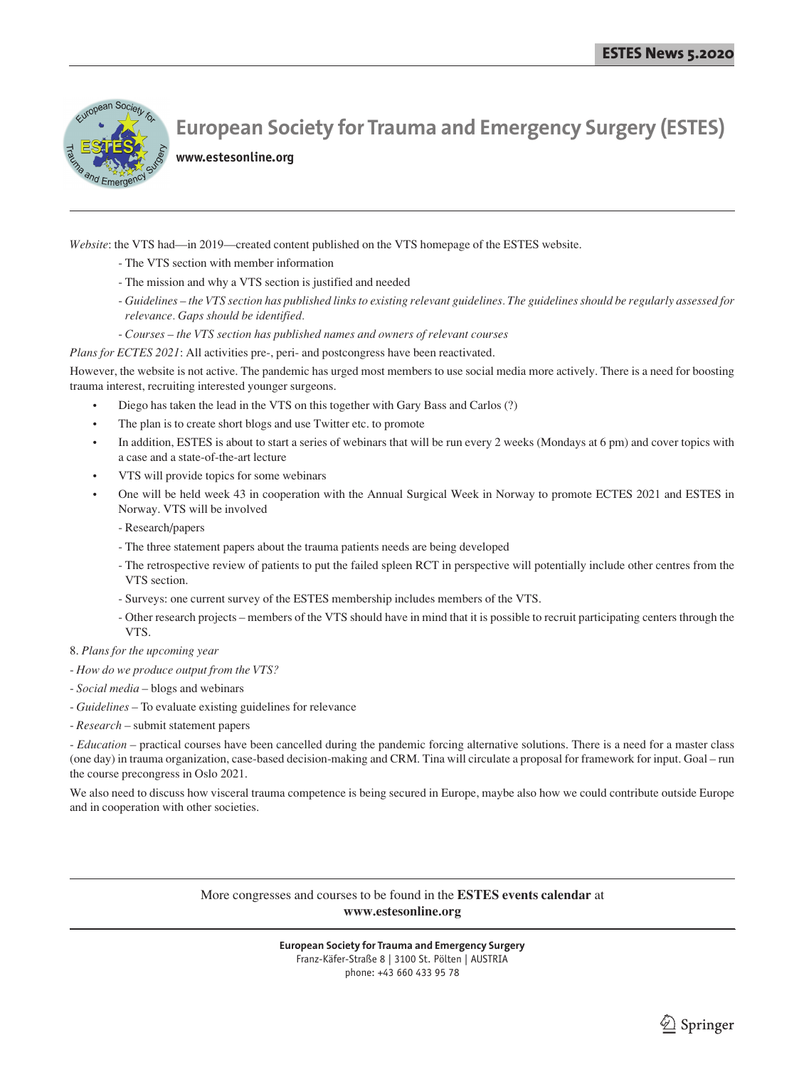

**www.estesonline.org**

*Website*: the VTS had—in 2019—created content published on the VTS homepage of the ESTES website.

- The VTS section with member information
- The mission and why a VTS section is justified and needed
- *Guidelines the VTS section has published links to existing relevant guidelines. The guidelines should be regularly assessed for relevance. Gaps should be identified.*
- *Courses the VTS section has published names and owners of relevant courses*

## *Plans for ECTES 2021*: All activities pre-, peri- and postcongress have been reactivated.

However, the website is not active. The pandemic has urged most members to use social media more actively. There is a need for boosting trauma interest, recruiting interested younger surgeons.

- Diego has taken the lead in the VTS on this together with Gary Bass and Carlos (?)
- The plan is to create short blogs and use Twitter etc. to promote
- In addition, ESTES is about to start a series of webinars that will be run every 2 weeks (Mondays at 6 pm) and cover topics with a case and a state-of-the-art lecture
- VTS will provide topics for some webinars
- One will be held week 43 in cooperation with the Annual Surgical Week in Norway to promote ECTES 2021 and ESTES in Norway. VTS will be involved
	- Research/papers
	- The three statement papers about the trauma patients needs are being developed
	- The retrospective review of patients to put the failed spleen RCT in perspective will potentially include other centres from the VTS section.
	- Surveys: one current survey of the ESTES membership includes members of the VTS.
	- Other research projects members of the VTS should have in mind that it is possible to recruit participating centers through the VTS.

8. *Plans for the upcoming year*

- *How do we produce output from the VTS?*
- *Social media* blogs and webinars
- *Guidelines* To evaluate existing guidelines for relevance
- *Research* submit statement papers

- *Education* – practical courses have been cancelled during the pandemic forcing alternative solutions. There is a need for a master class (one day) in trauma organization, case-based decision-making and CRM. Tina will circulate a proposal for framework for input. Goal – run the course precongress in Oslo 2021.

We also need to discuss how visceral trauma competence is being secured in Europe, maybe also how we could contribute outside Europe and in cooperation with other societies.

> More congresses and courses to be found in the **ESTES events calendar** at **www.estesonline.org**

phone: +43 660 433 95 78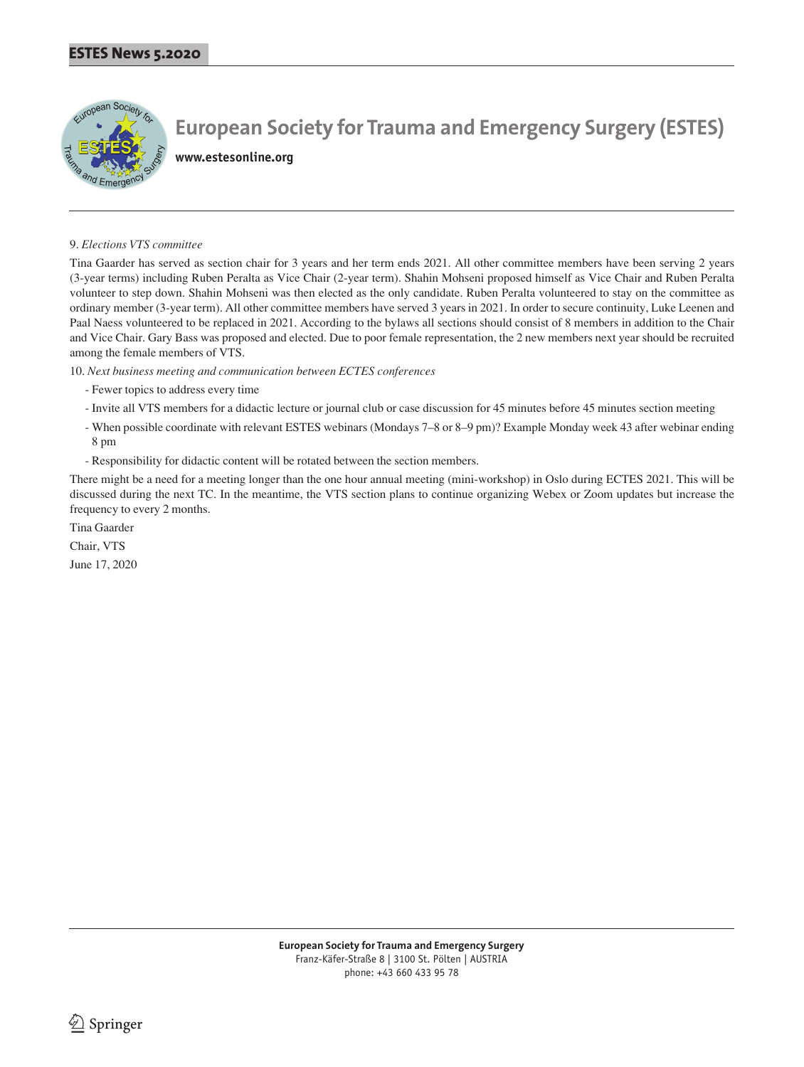

**www.estesonline.org**

## 9. *Elections VTS committee*

Tina Gaarder has served as section chair for 3 years and her term ends 2021. All other committee members have been serving 2 years (3-year terms) including Ruben Peralta as Vice Chair (2-year term). Shahin Mohseni proposed himself as Vice Chair and Ruben Peralta volunteer to step down. Shahin Mohseni was then elected as the only candidate. Ruben Peralta volunteered to stay on the committee as ordinary member (3-year term). All other committee members have served 3 years in 2021. In order to secure continuity, Luke Leenen and Paal Naess volunteered to be replaced in 2021. According to the bylaws all sections should consist of 8 members in addition to the Chair and Vice Chair. Gary Bass was proposed and elected. Due to poor female representation, the 2 new members next year should be recruited among the female members of VTS.

10. *Next business meeting and communication between ECTES conferences*

- Fewer topics to address every time
- Invite all VTS members for a didactic lecture or journal club or case discussion for 45 minutes before 45 minutes section meeting
- When possible coordinate with relevant ESTES webinars (Mondays 7–8 or 8–9 pm)? Example Monday week 43 after webinar ending 8 pm
- Responsibility for didactic content will be rotated between the section members.

There might be a need for a meeting longer than the one hour annual meeting (mini-workshop) in Oslo during ECTES 2021. This will be discussed during the next TC. In the meantime, the VTS section plans to continue organizing Webex or Zoom updates but increase the frequency to every 2 months.

Tina Gaarder Chair, VTS June 17, 2020